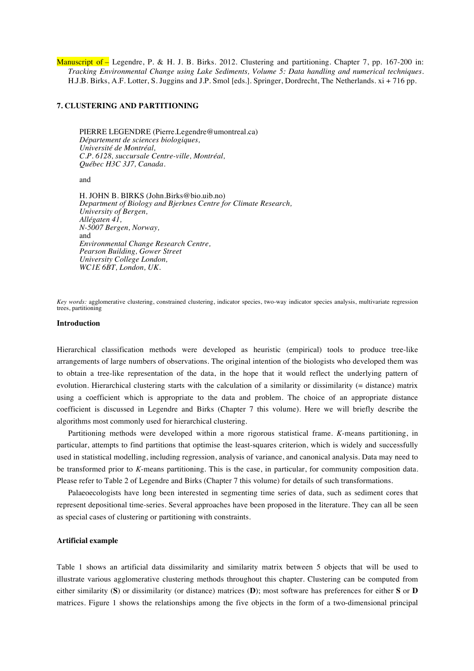Manuscript of – Legendre, P. & H. J. B. Birks. 2012. Clustering and partitioning. Chapter 7, pp. 167-200 in: *Tracking Environmental Change using Lake Sediments, Volume 5: Data handling and numerical techniques.* H.J.B. Birks, A.F. Lotter, S. Juggins and J.P. Smol [eds.]. Springer, Dordrecht, The Netherlands. xi + 716 pp.

# **7. CLUSTERING AND PARTITIONING**

PIERRE LEGENDRE (Pierre.Legendre@umontreal.ca) *Département de sciences biologiques, Université de Montréal, C.P. 6128, succursale Centre-ville, Montréal, Québec H3C 3J7, Canada*.

and

H. JOHN B. BIRKS (John.Birks@bio.uib.no) *Department of Biology and Bjerknes Centre for Climate Research, University of Bergen, Allégaten 41, N-5007 Bergen, Norway,* and *Environmental Change Research Centre, Pearson Building, Gower Street University College London, WC1E 6BT, London, UK*.

*Key words:* agglomerative clustering, constrained clustering, indicator species, two-way indicator species analysis, multivariate regression trees, partitioning

### **Introduction**

Hierarchical classification methods were developed as heuristic (empirical) tools to produce tree-like arrangements of large numbers of observations. The original intention of the biologists who developed them was to obtain a tree-like representation of the data, in the hope that it would reflect the underlying pattern of evolution. Hierarchical clustering starts with the calculation of a similarity or dissimilarity (= distance) matrix using a coefficient which is appropriate to the data and problem. The choice of an appropriate distance coefficient is discussed in Legendre and Birks (Chapter 7 this volume). Here we will briefly describe the algorithms most commonly used for hierarchical clustering.

Partitioning methods were developed within a more rigorous statistical frame. *K*-means partitioning, in particular, attempts to find partitions that optimise the least-squares criterion, which is widely and successfully used in statistical modelling, including regression, analysis of variance, and canonical analysis. Data may need to be transformed prior to *K*-means partitioning. This is the case, in particular, for community composition data. Please refer to Table 2 of Legendre and Birks (Chapter 7 this volume) for details of such transformations.

Palaeoecologists have long been interested in segmenting time series of data, such as sediment cores that represent depositional time-series. Several approaches have been proposed in the literature. They can all be seen as special cases of clustering or partitioning with constraints.

#### **Artificial example**

Table 1 shows an artificial data dissimilarity and similarity matrix between 5 objects that will be used to illustrate various agglomerative clustering methods throughout this chapter. Clustering can be computed from either similarity (**S**) or dissimilarity (or distance) matrices (**D**); most software has preferences for either **S** or **D** matrices. Figure 1 shows the relationships among the five objects in the form of a two-dimensional principal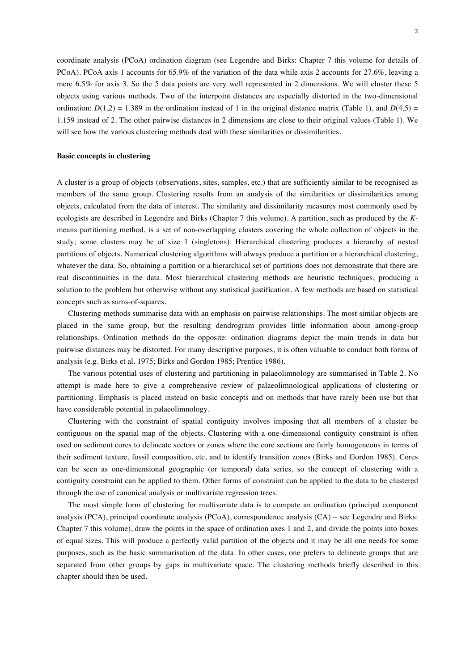coordinate analysis (PCoA) ordination diagram (see Legendre and Birks: Chapter 7 this volume for details of PCoA). PCoA axis 1 accounts for 65.9% of the variation of the data while axis 2 accounts for 27.6%, leaving a mere 6.5% for axis 3. So the 5 data points are very well represented in 2 dimensions. We will cluster these 5 objects using various methods. Two of the interpoint distances are especially distorted in the two-dimensional ordination:  $D(1,2) = 1.389$  in the ordination instead of 1 in the original distance matrix (Table 1), and  $D(4,5) =$ 1.159 instead of 2. The other pairwise distances in 2 dimensions are close to their original values (Table 1). We will see how the various clustering methods deal with these similarities or dissimilarities.

# **Basic concepts in clustering**

A cluster is a group of objects (observations, sites, samples, etc.) that are sufficiently similar to be recognised as members of the same group. Clustering results from an analysis of the similarities or dissimilarities among objects, calculated from the data of interest. The similarity and dissimilarity measures most commonly used by ecologists are described in Legendre and Birks (Chapter 7 this volume). A partition, such as produced by the *K*means partitioning method, is a set of non-overlapping clusters covering the whole collection of objects in the study; some clusters may be of size 1 (singletons). Hierarchical clustering produces a hierarchy of nested partitions of objects. Numerical clustering algorithms will always produce a partition or a hierarchical clustering, whatever the data. So, obtaining a partition or a hierarchical set of partitions does not demonstrate that there are real discontinuities in the data. Most hierarchical clustering methods are heuristic techniques, producing a solution to the problem but otherwise without any statistical justification. A few methods are based on statistical concepts such as sums-of-squares.

Clustering methods summarise data with an emphasis on pairwise relationships. The most similar objects are placed in the same group, but the resulting dendrogram provides little information about among-group relationships. Ordination methods do the opposite: ordination diagrams depict the main trends in data but pairwise distances may be distorted. For many descriptive purposes, it is often valuable to conduct both forms of analysis (e.g. Birks et al. 1975; Birks and Gordon 1985; Prentice 1986).

The various potential uses of clustering and partitioning in palaeolimnology are summarised in Table 2. No attempt is made here to give a comprehensive review of palaeolimnological applications of clustering or partitioning. Emphasis is placed instead on basic concepts and on methods that have rarely been use but that have considerable potential in palaeolimnology.

Clustering with the constraint of spatial contiguity involves imposing that all members of a cluster be contiguous on the spatial map of the objects. Clustering with a one-dimensional contiguity constraint is often used on sediment cores to delineate sectors or zones where the core sections are fairly homogeneous in terms of their sediment texture, fossil composition, etc, and to identify transition zones (Birks and Gordon 1985). Cores can be seen as one-dimensional geographic (or temporal) data series, so the concept of clustering with a contiguity constraint can be applied to them. Other forms of constraint can be applied to the data to be clustered through the use of canonical analysis or multivariate regression trees.

The most simple form of clustering for multivariate data is to compute an ordination (principal component analysis (PCA), principal coordinate analysis (PCoA), correspondence analysis (CA) – see Legendre and Birks: Chapter 7 this volume), draw the points in the space of ordination axes 1 and 2, and divide the points into boxes of equal sizes. This will produce a perfectly valid partition of the objects and it may be all one needs for some purposes, such as the basic summarisation of the data. In other cases, one prefers to delineate groups that are separated from other groups by gaps in multivariate space. The clustering methods briefly described in this chapter should then be used.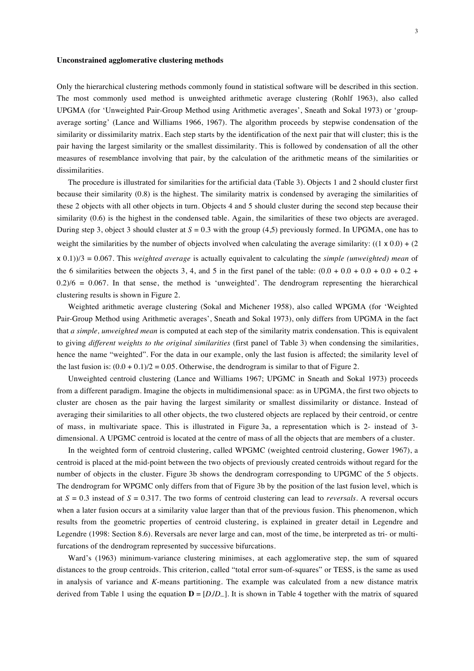### **Unconstrained agglomerative clustering methods**

Only the hierarchical clustering methods commonly found in statistical software will be described in this section. The most commonly used method is unweighted arithmetic average clustering (Rohlf 1963), also called UPGMA (for 'Unweighted Pair-Group Method using Arithmetic averages', Sneath and Sokal 1973) or 'groupaverage sorting' (Lance and Williams 1966, 1967). The algorithm proceeds by stepwise condensation of the similarity or dissimilarity matrix. Each step starts by the identification of the next pair that will cluster; this is the pair having the largest similarity or the smallest dissimilarity. This is followed by condensation of all the other measures of resemblance involving that pair, by the calculation of the arithmetic means of the similarities or dissimilarities.

The procedure is illustrated for similarities for the artificial data (Table 3). Objects 1 and 2 should cluster first because their similarity (0.8) is the highest. The similarity matrix is condensed by averaging the similarities of these 2 objects with all other objects in turn. Objects 4 and 5 should cluster during the second step because their similarity (0.6) is the highest in the condensed table. Again, the similarities of these two objects are averaged. During step 3, object 3 should cluster at  $S = 0.3$  with the group (4,5) previously formed. In UPGMA, one has to weight the similarities by the number of objects involved when calculating the average similarity:  $((1 \times 0.0) + (2 \times 0.0))$ x 0.1))/3 = 0.067. This *weighted average* is actually equivalent to calculating the *simple (unweighted) mean* of the 6 similarities between the objects 3, 4, and 5 in the first panel of the table: (0.0 + 0.0 + 0.0 + 0.0 + 0.2 +  $0.2/6 = 0.067$ . In that sense, the method is 'unweighted'. The dendrogram representing the hierarchical clustering results is shown in Figure 2.

Weighted arithmetic average clustering (Sokal and Michener 1958), also called WPGMA (for 'Weighted Pair-Group Method using Arithmetic averages', Sneath and Sokal 1973), only differs from UPGMA in the fact that *a simple, unweighted mean* is computed at each step of the similarity matrix condensation. This is equivalent to giving *different weights to the original similarities* (first panel of Table 3) when condensing the similarities, hence the name "weighted". For the data in our example, only the last fusion is affected; the similarity level of the last fusion is:  $(0.0 + 0.1)/2 = 0.05$ . Otherwise, the dendrogram is similar to that of Figure 2.

Unweighted centroid clustering (Lance and Williams 1967; UPGMC in Sneath and Sokal 1973) proceeds from a different paradigm. Imagine the objects in multidimensional space: as in UPGMA, the first two objects to cluster are chosen as the pair having the largest similarity or smallest dissimilarity or distance. Instead of averaging their similarities to all other objects, the two clustered objects are replaced by their centroid, or centre of mass, in multivariate space. This is illustrated in Figure 3a, a representation which is 2- instead of 3 dimensional. A UPGMC centroid is located at the centre of mass of all the objects that are members of a cluster.

In the weighted form of centroid clustering, called WPGMC (weighted centroid clustering, Gower 1967), a centroid is placed at the mid-point between the two objects of previously created centroids without regard for the number of objects in the cluster. Figure 3b shows the dendrogram corresponding to UPGMC of the 5 objects. The dendrogram for WPGMC only differs from that of Figure 3b by the position of the last fusion level, which is at  $S = 0.3$  instead of  $S = 0.317$ . The two forms of centroid clustering can lead to *reversals*. A reversal occurs when a later fusion occurs at a similarity value larger than that of the previous fusion. This phenomenon, which results from the geometric properties of centroid clustering, is explained in greater detail in Legendre and Legendre (1998: Section 8.6). Reversals are never large and can, most of the time, be interpreted as tri- or multifurcations of the dendrogram represented by successive bifurcations.

Ward's (1963) minimum-variance clustering minimises, at each agglomerative step, the sum of squared distances to the group centroids. This criterion, called "total error sum-of-squares" or TESS, is the same as used in analysis of variance and *K*-means partitioning. The example was calculated from a new distance matrix derived from Table 1 using the equation  $\mathbf{D} = [D/D_{m}]$ . It is shown in Table 4 together with the matrix of squared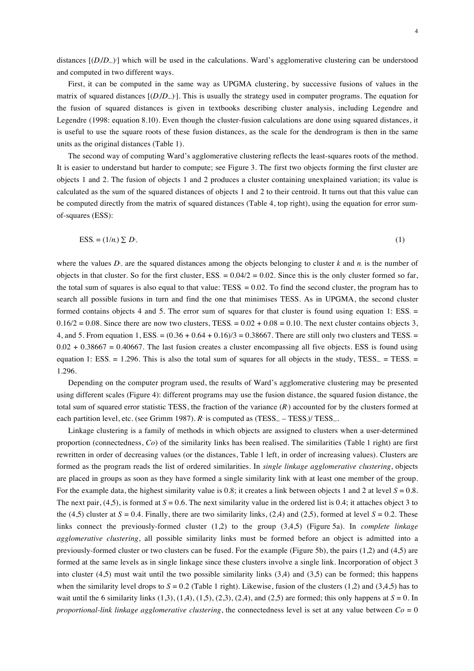distances  $[(D/D<sub>nm</sub>)^2]$  which will be used in the calculations. Ward's agglomerative clustering can be understood and computed in two different ways.

First, it can be computed in the same way as UPGMA clustering, by successive fusions of values in the matrix of squared distances  $[(D/D_m)]$ . This is usually the strategy used in computer programs. The equation for the fusion of squared distances is given in textbooks describing cluster analysis, including Legendre and Legendre (1998: equation 8.10). Even though the cluster-fusion calculations are done using squared distances, it is useful to use the square roots of these fusion distances, as the scale for the dendrogram is then in the same units as the original distances (Table 1).

The second way of computing Ward's agglomerative clustering reflects the least-squares roots of the method. It is easier to understand but harder to compute; see Figure 3. The first two objects forming the first cluster are objects 1 and 2. The fusion of objects 1 and 2 produces a cluster containing unexplained variation; its value is calculated as the sum of the squared distances of objects 1 and 2 to their centroid. It turns out that this value can be computed directly from the matrix of squared distances (Table 4, top right), using the equation for error sumof-squares (ESS):

$$
\text{ESS}_{\cdot} = (1/n_{\cdot}) \sum D_{\cdot} \tag{1}
$$

where the values  $D^2$  are the squared distances among the objects belonging to cluster *k* and *n<sub>k</sub>* is the number of objects in that cluster. So for the first cluster,  $ESS = 0.04/2 = 0.02$ . Since this is the only cluster formed so far, the total sum of squares is also equal to that value:  $TESS = 0.02$ . To find the second cluster, the program has to search all possible fusions in turn and find the one that minimises TESS. As in UPGMA, the second cluster formed contains objects 4 and 5. The error sum of squares for that cluster is found using equation 1: ESS.  $0.16/2 = 0.08$ . Since there are now two clusters, TESS =  $0.02 + 0.08 = 0.10$ . The next cluster contains objects 3, 4, and 5. From equation 1, ESS<sub>3</sub> =  $(0.36 + 0.64 + 0.16)/3 = 0.38667$ . There are still only two clusters and TESS<sub>3</sub> =  $0.02 + 0.38667 = 0.40667$ . The last fusion creates a cluster encompassing all five objects. ESS is found using equation 1: ESS<sub>4</sub> = 1.296. This is also the total sum of squares for all objects in the study, TESS<sub>m</sub> = TESS<sub>4</sub> 1.296.

Depending on the computer program used, the results of Ward's agglomerative clustering may be presented using different scales (Figure 4): different programs may use the fusion distance, the squared fusion distance, the total sum of squared error statistic TESS, the fraction of the variance  $(R)$  accounted for by the clusters formed at each partition level, etc. (see Grimm 1987).  $R<sup>2</sup>$  is computed as (TESS<sub>m</sub> – TESS<sub>n</sub>)/ TESS<sub>m</sub>.

Linkage clustering is a family of methods in which objects are assigned to clusters when a user-determined proportion (connectedness, *Co*) of the similarity links has been realised. The similarities (Table 1 right) are first rewritten in order of decreasing values (or the distances, Table 1 left, in order of increasing values). Clusters are formed as the program reads the list of ordered similarities. In *single linkage agglomerative clustering*, objects are placed in groups as soon as they have formed a single similarity link with at least one member of the group. For the example data, the highest similarity value is 0.8; it creates a link between objects 1 and 2 at level  $S = 0.8$ . The next pair,  $(4.5)$ , is formed at  $S = 0.6$ . The next similarity value in the ordered list is 0.4; it attaches object 3 to the (4,5) cluster at  $S = 0.4$ . Finally, there are two similarity links, (2,4) and (2,5), formed at level  $S = 0.2$ . These links connect the previously-formed cluster (1,2) to the group (3,4,5) (Figure 5a). In *complete linkage agglomerative clustering*, all possible similarity links must be formed before an object is admitted into a previously-formed cluster or two clusters can be fused. For the example (Figure 5b), the pairs (1,2) and (4,5) are formed at the same levels as in single linkage since these clusters involve a single link. Incorporation of object 3 into cluster  $(4,5)$  must wait until the two possible similarity links  $(3,4)$  and  $(3,5)$  can be formed; this happens when the similarity level drops to  $S = 0.2$  (Table 1 right). Likewise, fusion of the clusters (1,2) and (3,4,5) has to wait until the 6 similarity links  $(1,3)$ ,  $(1,4)$ ,  $(1,5)$ ,  $(2,3)$ ,  $(2,4)$ , and  $(2,5)$  are formed; this only happens at  $S = 0$ . In *proportional-link linkage agglomerative clustering*, the connectedness level is set at any value between *Co* = 0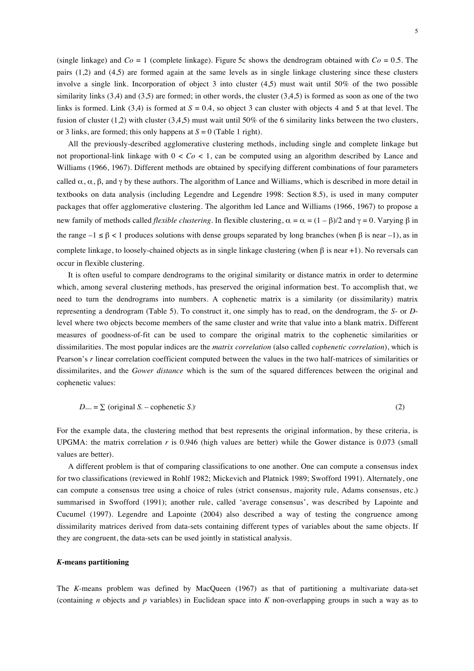(single linkage) and  $Co = 1$  (complete linkage). Figure 5c shows the dendrogram obtained with  $Co = 0.5$ . The pairs (1,2) and (4,5) are formed again at the same levels as in single linkage clustering since these clusters involve a single link. Incorporation of object 3 into cluster (4,5) must wait until 50% of the two possible similarity links  $(3,4)$  and  $(3,5)$  are formed; in other words, the cluster  $(3,4,5)$  is formed as soon as one of the two links is formed. Link  $(3,4)$  is formed at  $S = 0.4$ , so object 3 can cluster with objects 4 and 5 at that level. The fusion of cluster (1,2) with cluster (3,4,5) must wait until 50% of the 6 similarity links between the two clusters, or 3 links, are formed; this only happens at *S* = 0 (Table 1 right).

All the previously-described agglomerative clustering methods, including single and complete linkage but not proportional-link linkage with  $0 < Co < 1$ , can be computed using an algorithm described by Lance and Williams (1966, 1967). Different methods are obtained by specifying different combinations of four parameters called  $\alpha$ ,  $\alpha$ ,  $\beta$ , and  $\gamma$  by these authors. The algorithm of Lance and Williams, which is described in more detail in textbooks on data analysis (including Legendre and Legendre 1998: Section 8.5), is used in many computer packages that offer agglomerative clustering. The algorithm led Lance and Williams (1966, 1967) to propose a new family of methods called *flexible clustering*. In flexible clustering,  $α = α_j = (1 - β)/2$  and  $γ = 0$ . Varying β in the range  $-1 \le \beta < 1$  produces solutions with dense groups separated by long branches (when β is near –1), as in complete linkage, to loosely-chained objects as in single linkage clustering (when β is near +1). No reversals can occur in flexible clustering.

It is often useful to compare dendrograms to the original similarity or distance matrix in order to determine which, among several clustering methods, has preserved the original information best. To accomplish that, we need to turn the dendrograms into numbers. A cophenetic matrix is a similarity (or dissimilarity) matrix representing a dendrogram (Table 5). To construct it, one simply has to read, on the dendrogram, the *S*- or *D*level where two objects become members of the same cluster and write that value into a blank matrix. Different measures of goodness-of-fit can be used to compare the original matrix to the cophenetic similarities or dissimilarities. The most popular indices are the *matrix correlation* (also called *cophenetic correlation*), which is Pearson's *r* linear correlation coefficient computed between the values in the two half-matrices of similarities or dissimilarites, and the *Gower distance* which is the sum of the squared differences between the original and cophenetic values:

$$
D_{\text{new}} = \sum (\text{original } S_i - \text{cophenteic } S_i)
$$
 (2)

For the example data, the clustering method that best represents the original information, by these criteria, is UPGMA: the matrix correlation  $r$  is 0.946 (high values are better) while the Gower distance is 0.073 (small values are better).

A different problem is that of comparing classifications to one another. One can compute a consensus index for two classifications (reviewed in Rohlf 1982; Mickevich and Platnick 1989; Swofford 1991). Alternately, one can compute a consensus tree using a choice of rules (strict consensus, majority rule, Adams consensus, etc.) summarised in Swofford (1991); another rule, called 'average consensus', was described by Lapointe and Cucumel (1997). Legendre and Lapointe (2004) also described a way of testing the congruence among dissimilarity matrices derived from data-sets containing different types of variables about the same objects. If they are congruent, the data-sets can be used jointly in statistical analysis.

## *K***-means partitioning**

The *K*-means problem was defined by MacQueen (1967) as that of partitioning a multivariate data-set (containing *n* objects and *p* variables) in Euclidean space into *K* non-overlapping groups in such a way as to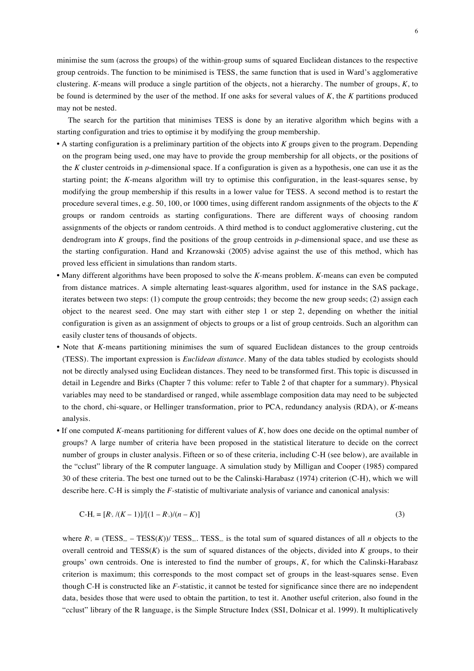minimise the sum (across the groups) of the within-group sums of squared Euclidean distances to the respective group centroids. The function to be minimised is TESS, the same function that is used in Ward's agglomerative clustering. *K*-means will produce a single partition of the objects, not a hierarchy. The number of groups, *K*, to be found is determined by the user of the method. If one asks for several values of *K*, the *K* partitions produced may not be nested.

The search for the partition that minimises TESS is done by an iterative algorithm which begins with a starting configuration and tries to optimise it by modifying the group membership.

- A starting configuration is a preliminary partition of the objects into *K* groups given to the program. Depending on the program being used, one may have to provide the group membership for all objects, or the positions of the *K* cluster centroids in *p*-dimensional space. If a configuration is given as a hypothesis, one can use it as the starting point; the *K*-means algorithm will try to optimise this configuration, in the least-squares sense, by modifying the group membership if this results in a lower value for TESS. A second method is to restart the procedure several times, e.g. 50, 100, or 1000 times, using different random assignments of the objects to the *K* groups or random centroids as starting configurations. There are different ways of choosing random assignments of the objects or random centroids. A third method is to conduct agglomerative clustering, cut the dendrogram into *K* groups, find the positions of the group centroids in *p*-dimensional space, and use these as the starting configuration. Hand and Krzanowski (2005) advise against the use of this method, which has proved less efficient in simulations than random starts.
- Many different algorithms have been proposed to solve the *K*-means problem. *K*-means can even be computed from distance matrices. A simple alternating least-squares algorithm, used for instance in the SAS package, iterates between two steps: (1) compute the group centroids; they become the new group seeds; (2) assign each object to the nearest seed. One may start with either step 1 or step 2, depending on whether the initial configuration is given as an assignment of objects to groups or a list of group centroids. Such an algorithm can easily cluster tens of thousands of objects.
- Note that *K*-means partitioning minimises the sum of squared Euclidean distances to the group centroids (TESS). The important expression is *Euclidean distance*. Many of the data tables studied by ecologists should not be directly analysed using Euclidean distances. They need to be transformed first. This topic is discussed in detail in Legendre and Birks (Chapter 7 this volume: refer to Table 2 of that chapter for a summary). Physical variables may need to be standardised or ranged, while assemblage composition data may need to be subjected to the chord, chi-square, or Hellinger transformation, prior to PCA, redundancy analysis (RDA), or *K*-means analysis.
- If one computed *K*-means partitioning for different values of *K*, how does one decide on the optimal number of groups? A large number of criteria have been proposed in the statistical literature to decide on the correct number of groups in cluster analysis. Fifteen or so of these criteria, including C-H (see below), are available in the "cclust" library of the R computer language. A simulation study by Milligan and Cooper (1985) compared 30 of these criteria. The best one turned out to be the Calinski-Harabasz (1974) criterion (C-H), which we will describe here. C-H is simply the *F*-statistic of multivariate analysis of variance and canonical analysis:

$$
C-H_{\kappa} = [R_{\kappa} / (K-1)] / [(1 - R_{\kappa}) / (n - K)] \tag{3}
$$

where  $R_{\kappa} = (TESS_{\kappa} - TESS(K))$  TESS<sub>na</sub>. TESS<sub>na</sub> is the total sum of squared distances of all *n* objects to the overall centroid and TESS(*K*) is the sum of squared distances of the objects, divided into *K* groups, to their groups' own centroids. One is interested to find the number of groups, *K*, for which the Calinski-Harabasz criterion is maximum; this corresponds to the most compact set of groups in the least-squares sense. Even though C-H is constructed like an *F*-statistic, it cannot be tested for significance since there are no independent data, besides those that were used to obtain the partition, to test it. Another useful criterion, also found in the "cclust" library of the R language, is the Simple Structure Index (SSI, Dolnicar et al. 1999). It multiplicatively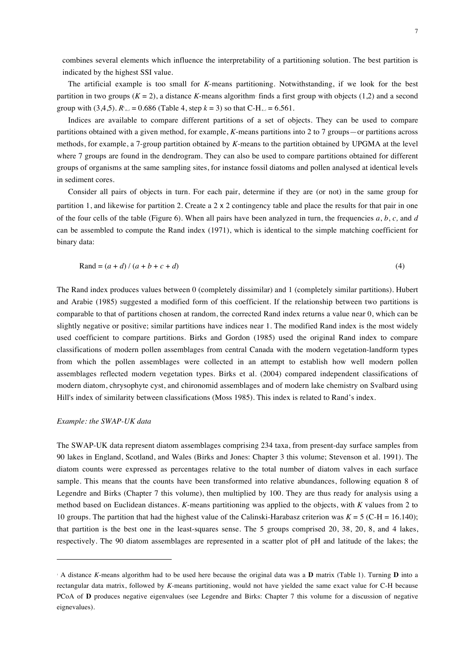The artificial example is too small for *K*-means partitioning. Notwithstanding, if we look for the best partition in two groups  $(K = 2)$ , a distance K-means algorithm finds a first group with objects (1,2) and a second group with (3,4,5).  $R_{k-2} = 0.686$  (Table 4, step  $k = 3$ ) so that C-H<sub> $k=2$ </sub> = 6.561.

Indices are available to compare different partitions of a set of objects. They can be used to compare partitions obtained with a given method, for example, *K*-means partitions into 2 to 7 groups—or partitions across methods, for example, a 7-group partition obtained by *K*-means to the partition obtained by UPGMA at the level where 7 groups are found in the dendrogram. They can also be used to compare partitions obtained for different groups of organisms at the same sampling sites, for instance fossil diatoms and pollen analysed at identical levels in sediment cores.

Consider all pairs of objects in turn. For each pair, determine if they are (or not) in the same group for partition 1, and likewise for partition 2. Create a 2 x 2 contingency table and place the results for that pair in one of the four cells of the table (Figure 6). When all pairs have been analyzed in turn, the frequencies *a*, *b*, *c,* and *d* can be assembled to compute the Rand index (1971), which is identical to the simple matching coefficient for binary data:

$$
Rand = (a + d) / (a + b + c + d)
$$
 (4)

The Rand index produces values between 0 (completely dissimilar) and 1 (completely similar partitions). Hubert and Arabie (1985) suggested a modified form of this coefficient. If the relationship between two partitions is comparable to that of partitions chosen at random, the corrected Rand index returns a value near 0, which can be slightly negative or positive; similar partitions have indices near 1. The modified Rand index is the most widely used coefficient to compare partitions. Birks and Gordon (1985) used the original Rand index to compare classifications of modern pollen assemblages from central Canada with the modern vegetation-landform types from which the pollen assemblages were collected in an attempt to establish how well modern pollen assemblages reflected modern vegetation types. Birks et al. (2004) compared independent classifications of modern diatom, chrysophyte cyst, and chironomid assemblages and of modern lake chemistry on Svalbard using Hill's index of similarity between classifications (Moss 1985). This index is related to Rand's index.

# *Example: the SWAP-UK data*

 $\overline{a}$ 

The SWAP-UK data represent diatom assemblages comprising 234 taxa, from present-day surface samples from 90 lakes in England, Scotland, and Wales (Birks and Jones: Chapter 3 this volume; Stevenson et al. 1991). The diatom counts were expressed as percentages relative to the total number of diatom valves in each surface sample. This means that the counts have been transformed into relative abundances, following equation 8 of Legendre and Birks (Chapter 7 this volume), then multiplied by 100. They are thus ready for analysis using a method based on Euclidean distances. *K*-means partitioning was applied to the objects, with *K* values from 2 to 10 groups. The partition that had the highest value of the Calinski-Harabasz criterion was  $K = 5$  (C-H = 16.140); that partition is the best one in the least-squares sense. The 5 groups comprised 20, 38, 20, 8, and 4 lakes, respectively. The 90 diatom assemblages are represented in a scatter plot of pH and latitude of the lakes; the

<sup>1</sup> A distance *K*-means algorithm had to be used here because the original data was a **D** matrix (Table 1). Turning **D** into a rectangular data matrix, followed by *K*-means partitioning, would not have yielded the same exact value for C-H because PCoA of **D** produces negative eigenvalues (see Legendre and Birks: Chapter 7 this volume for a discussion of negative eignevalues).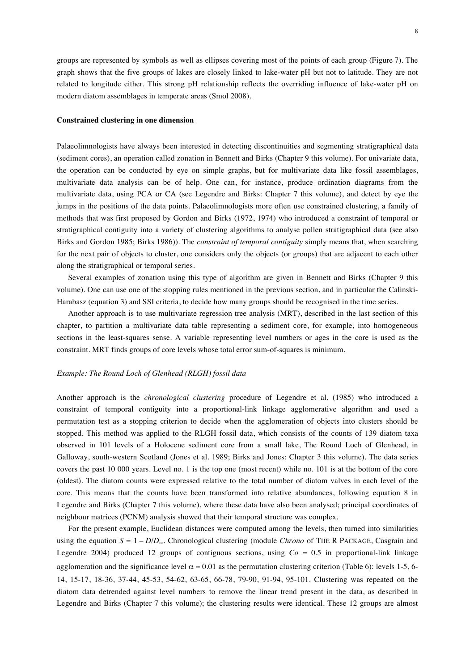groups are represented by symbols as well as ellipses covering most of the points of each group (Figure 7). The graph shows that the five groups of lakes are closely linked to lake-water pH but not to latitude. They are not related to longitude either. This strong pH relationship reflects the overriding influence of lake-water pH on modern diatom assemblages in temperate areas (Smol 2008).

#### **Constrained clustering in one dimension**

Palaeolimnologists have always been interested in detecting discontinuities and segmenting stratigraphical data (sediment cores), an operation called zonation in Bennett and Birks (Chapter 9 this volume). For univariate data, the operation can be conducted by eye on simple graphs, but for multivariate data like fossil assemblages, multivariate data analysis can be of help. One can, for instance, produce ordination diagrams from the multivariate data, using PCA or CA (see Legendre and Birks: Chapter 7 this volume), and detect by eye the jumps in the positions of the data points. Palaeolimnologists more often use constrained clustering, a family of methods that was first proposed by Gordon and Birks (1972, 1974) who introduced a constraint of temporal or stratigraphical contiguity into a variety of clustering algorithms to analyse pollen stratigraphical data (see also Birks and Gordon 1985; Birks 1986)). The *constraint of temporal contiguity* simply means that, when searching for the next pair of objects to cluster, one considers only the objects (or groups) that are adjacent to each other along the stratigraphical or temporal series.

Several examples of zonation using this type of algorithm are given in Bennett and Birks (Chapter 9 this volume). One can use one of the stopping rules mentioned in the previous section, and in particular the Calinski-Harabasz (equation 3) and SSI criteria, to decide how many groups should be recognised in the time series.

Another approach is to use multivariate regression tree analysis (MRT), described in the last section of this chapter, to partition a multivariate data table representing a sediment core, for example, into homogeneous sections in the least-squares sense. A variable representing level numbers or ages in the core is used as the constraint. MRT finds groups of core levels whose total error sum-of-squares is minimum.

#### *Example: The Round Loch of Glenhead (RLGH) fossil data*

Another approach is the *chronological clustering* procedure of Legendre et al. (1985) who introduced a constraint of temporal contiguity into a proportional-link linkage agglomerative algorithm and used a permutation test as a stopping criterion to decide when the agglomeration of objects into clusters should be stopped. This method was applied to the RLGH fossil data, which consists of the counts of 139 diatom taxa observed in 101 levels of a Holocene sediment core from a small lake, The Round Loch of Glenhead, in Galloway, south-western Scotland (Jones et al. 1989; Birks and Jones: Chapter 3 this volume). The data series covers the past 10 000 years. Level no. 1 is the top one (most recent) while no. 101 is at the bottom of the core (oldest). The diatom counts were expressed relative to the total number of diatom valves in each level of the core. This means that the counts have been transformed into relative abundances, following equation 8 in Legendre and Birks (Chapter 7 this volume), where these data have also been analysed; principal coordinates of neighbour matrices (PCNM) analysis showed that their temporal structure was complex.

For the present example, Euclidean distances were computed among the levels, then turned into similarities using the equation  $S = 1 - D/D_m$ . Chronological clustering (module *Chrono* of THE R PACKAGE, Casgrain and Legendre 2004) produced 12 groups of contiguous sections, using  $Co = 0.5$  in proportional-link linkage agglomeration and the significance level  $\alpha = 0.01$  as the permutation clustering criterion (Table 6): levels 1-5, 6-14, 15-17, 18-36, 37-44, 45-53, 54-62, 63-65, 66-78, 79-90, 91-94, 95-101. Clustering was repeated on the diatom data detrended against level numbers to remove the linear trend present in the data, as described in Legendre and Birks (Chapter 7 this volume); the clustering results were identical. These 12 groups are almost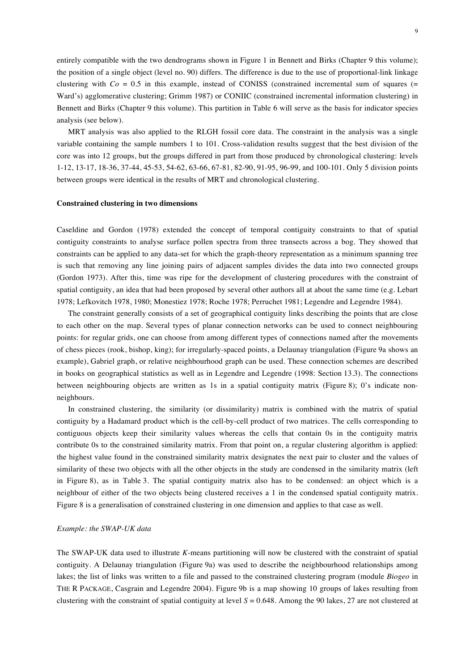entirely compatible with the two dendrograms shown in Figure 1 in Bennett and Birks (Chapter 9 this volume); the position of a single object (level no. 90) differs. The difference is due to the use of proportional-link linkage clustering with  $Co = 0.5$  in this example, instead of CONISS (constrained incremental sum of squares  $(=$ Ward's) agglomerative clustering; Grimm 1987) or CONIIC (constrained incremental information clustering) in Bennett and Birks (Chapter 9 this volume). This partition in Table 6 will serve as the basis for indicator species analysis (see below).

MRT analysis was also applied to the RLGH fossil core data. The constraint in the analysis was a single variable containing the sample numbers 1 to 101. Cross-validation results suggest that the best division of the core was into 12 groups, but the groups differed in part from those produced by chronological clustering: levels 1-12, 13-17, 18-36, 37-44, 45-53, 54-62, 63-66, 67-81, 82-90, 91-95, 96-99, and 100-101. Only 5 division points between groups were identical in the results of MRT and chronological clustering.

### **Constrained clustering in two dimensions**

Caseldine and Gordon (1978) extended the concept of temporal contiguity constraints to that of spatial contiguity constraints to analyse surface pollen spectra from three transects across a bog. They showed that constraints can be applied to any data-set for which the graph-theory representation as a minimum spanning tree is such that removing any line joining pairs of adjacent samples divides the data into two connected groups (Gordon 1973). After this, time was ripe for the development of clustering procedures with the constraint of spatial contiguity, an idea that had been proposed by several other authors all at about the same time (e.g. Lebart 1978; Lefkovitch 1978, 1980; Monestiez 1978; Roche 1978; Perruchet 1981; Legendre and Legendre 1984).

The constraint generally consists of a set of geographical contiguity links describing the points that are close to each other on the map. Several types of planar connection networks can be used to connect neighbouring points: for regular grids, one can choose from among different types of connections named after the movements of chess pieces (rook, bishop, king); for irregularly-spaced points, a Delaunay triangulation (Figure 9a shows an example), Gabriel graph, or relative neighbourhood graph can be used. These connection schemes are described in books on geographical statistics as well as in Legendre and Legendre (1998: Section 13.3). The connections between neighbouring objects are written as 1s in a spatial contiguity matrix (Figure 8); 0's indicate nonneighbours.

In constrained clustering, the similarity (or dissimilarity) matrix is combined with the matrix of spatial contiguity by a Hadamard product which is the cell-by-cell product of two matrices. The cells corresponding to contiguous objects keep their similarity values whereas the cells that contain 0s in the contiguity matrix contribute 0s to the constrained similarity matrix. From that point on, a regular clustering algorithm is applied: the highest value found in the constrained similarity matrix designates the next pair to cluster and the values of similarity of these two objects with all the other objects in the study are condensed in the similarity matrix (left in Figure 8), as in Table 3. The spatial contiguity matrix also has to be condensed: an object which is a neighbour of either of the two objects being clustered receives a 1 in the condensed spatial contiguity matrix. Figure 8 is a generalisation of constrained clustering in one dimension and applies to that case as well.

# *Example: the SWAP-UK data*

The SWAP-UK data used to illustrate *K*-means partitioning will now be clustered with the constraint of spatial contiguity. A Delaunay triangulation (Figure 9a) was used to describe the neighbourhood relationships among lakes; the list of links was written to a file and passed to the constrained clustering program (module *Biogeo* in THE R PACKAGE, Casgrain and Legendre 2004). Figure 9b is a map showing 10 groups of lakes resulting from clustering with the constraint of spatial contiguity at level  $S = 0.648$ . Among the 90 lakes, 27 are not clustered at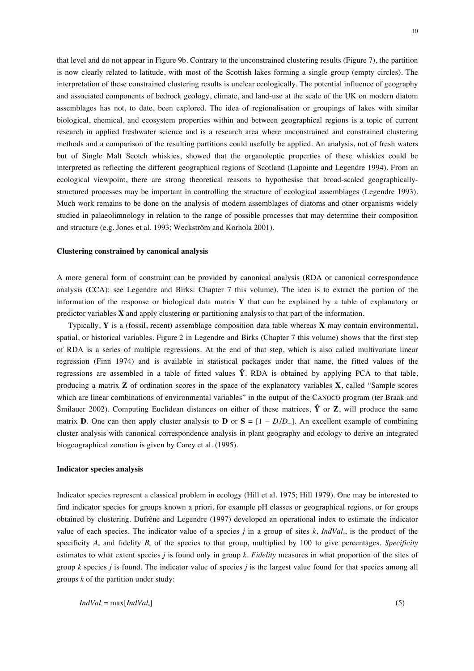that level and do not appear in Figure 9b. Contrary to the unconstrained clustering results (Figure 7), the partition is now clearly related to latitude, with most of the Scottish lakes forming a single group (empty circles). The interpretation of these constrained clustering results is unclear ecologically. The potential influence of geography and associated components of bedrock geology, climate, and land-use at the scale of the UK on modern diatom assemblages has not, to date, been explored. The idea of regionalisation or groupings of lakes with similar biological, chemical, and ecosystem properties within and between geographical regions is a topic of current research in applied freshwater science and is a research area where unconstrained and constrained clustering methods and a comparison of the resulting partitions could usefully be applied. An analysis, not of fresh waters but of Single Malt Scotch whiskies, showed that the organoleptic properties of these whiskies could be interpreted as reflecting the different geographical regions of Scotland (Lapointe and Legendre 1994). From an ecological viewpoint, there are strong theoretical reasons to hypothesise that broad-scaled geographicallystructured processes may be important in controlling the structure of ecological assemblages (Legendre 1993). Much work remains to be done on the analysis of modern assemblages of diatoms and other organisms widely studied in palaeolimnology in relation to the range of possible processes that may determine their composition and structure (e.g. Jones et al. 1993; Weckström and Korhola 2001).

# **Clustering constrained by canonical analysis**

A more general form of constraint can be provided by canonical analysis (RDA or canonical correspondence analysis (CCA): see Legendre and Birks: Chapter 7 this volume). The idea is to extract the portion of the information of the response or biological data matrix **Y** that can be explained by a table of explanatory or predictor variables **X** and apply clustering or partitioning analysis to that part of the information.

Typically, **Y** is a (fossil, recent) assemblage composition data table whereas **X** may contain environmental, spatial, or historical variables. Figure 2 in Legendre and Birks (Chapter 7 this volume) shows that the first step of RDA is a series of multiple regressions. At the end of that step, which is also called multivariate linear regression (Finn 1974) and is available in statistical packages under that name, the fitted values of the regressions are assembled in a table of fitted values  $\hat{Y}$ . RDA is obtained by applying PCA to that table, producing a matrix **Z** of ordination scores in the space of the explanatory variables **X**, called "Sample scores which are linear combinations of environmental variables" in the output of the CANOCO program (ter Braak and Šmilauer 2002). Computing Euclidean distances on either of these matrices, **Ŷ** or **Z**, will produce the same matrix **D**. One can then apply cluster analysis to **D** or  $S = \begin{bmatrix} 1 & -D/D_m \end{bmatrix}$ . An excellent example of combining cluster analysis with canonical correspondence analysis in plant geography and ecology to derive an integrated biogeographical zonation is given by Carey et al. (1995).

### **Indicator species analysis**

Indicator species represent a classical problem in ecology (Hill et al. 1975; Hill 1979). One may be interested to find indicator species for groups known a priori, for example pH classes or geographical regions, or for groups obtained by clustering. Dufrêne and Legendre (1997) developed an operational index to estimate the indicator value of each species. The indicator value of a species  $j$  in a group of sites  $k$ , *IndVal<sub>k</sub>*, is the product of the specificity  $A<sub>y</sub>$  and fidelity  $B<sub>y</sub>$  of the species to that group, multiplied by 100 to give percentages. *Specificity* estimates to what extent species *j* is found only in group *k*. *Fidelity* measures in what proportion of the sites of group *k* species *j* is found. The indicator value of species *j* is the largest value found for that species among all groups *k* of the partition under study:

$$
IndVal = \max[IndVal_{u}] \tag{5}
$$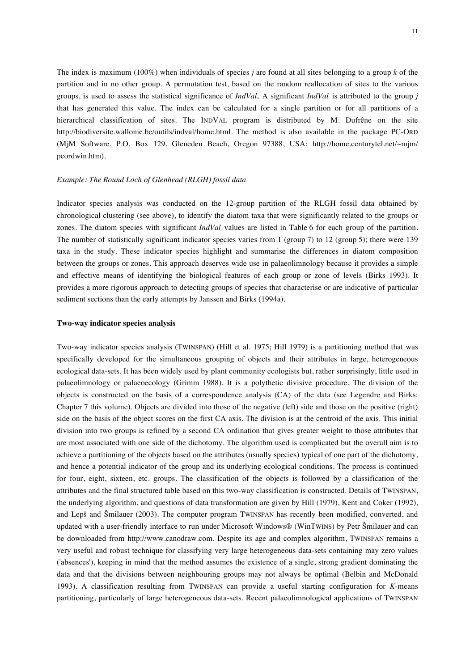The index is maximum (100%) when individuals of species *j* are found at all sites belonging to a group *k* of the partition and in no other group. A permutation test, based on the random reallocation of sites to the various groups, is used to assess the statistical significance of *IndValj*. A significant *IndValj* is attributed to the group *j* that has generated this value. The index can be calculated for a single partition or for all partitions of a hierarchical classification of sites. The INDVAL program is distributed by M. Dufrêne on the site http://biodiversite.wallonie.be/outils/indval/home.html. The method is also available in the package PC-ORD (MjM Software, P.O. Box 129, Gleneden Beach, Oregon 97388, USA: http://home.centurytel.net/~mjm/ pcordwin.htm).

# *Example: The Round Loch of Glenhead (RLGH) fossil data*

Indicator species analysis was conducted on the 12-group partition of the RLGH fossil data obtained by chronological clustering (see above), to identify the diatom taxa that were significantly related to the groups or zones. The diatom species with significant *IndValj* values are listed in Table 6 for each group of the partition. The number of statistically significant indicator species varies from 1 (group 7) to 12 (group 5); there were 139 taxa in the study. These indicator species highlight and summarise the differences in diatom composition between the groups or zones. This approach deserves wide use in palaeolimnology because it provides a simple and effective means of identifying the biological features of each group or zone of levels (Birks 1993). It provides a more rigorous approach to detecting groups of species that characterise or are indicative of particular sediment sections than the early attempts by Janssen and Birks (1994a).

### **Two-way indicator species analysis**

Two-way indicator species analysis (TWINSPAN) (Hill et al. 1975; Hill 1979) is a partitioning method that was specifically developed for the simultaneous grouping of objects and their attributes in large, heterogeneous ecological data-sets. It has been widely used by plant community ecologists but, rather surprisingly, little used in palaeolimnology or palaeoecology (Grimm 1988). It is a polythetic divisive procedure. The division of the objects is constructed on the basis of a correspondence analysis (CA) of the data (see Legendre and Birks: Chapter 7 this volume). Objects are divided into those of the negative (left) side and those on the positive (right) side on the basis of the object scores on the first CA axis. The division is at the centroid of the axis. This initial division into two groups is refined by a second CA ordination that gives greater weight to those attributes that are most associated with one side of the dichotomy. The algorithm used is complicated but the overall aim is to achieve a partitioning of the objects based on the attributes (usually species) typical of one part of the dichotomy, and hence a potential indicator of the group and its underlying ecological conditions. The process is continued for four, eight, sixteen, etc. groups. The classification of the objects is followed by a classification of the attributes and the final structured table based on this two-way classification is constructed. Details of TWINSPAN, the underlying algorithm, and questions of data transformation are given by Hill (1979), Kent and Coker (1992), and Lepš and Šmilauer (2003). The computer program TWINSPAN has recently been modified, converted, and updated with a user-friendly interface to run under Microsoft Windows® (WinTWINS) by Petr Šmilauer and can be downloaded from http://www.canodraw.com. Despite its age and complex algorithm, TWINSPAN remains a very useful and robust technique for classifying very large heterogeneous data-sets containing may zero values ('absences'), keeping in mind that the method assumes the existence of a single, strong gradient dominating the data and that the divisions between neighbouring groups may not always be optimal (Belbin and McDonald 1993). A classification resulting from TWINSPAN can provide a useful starting configuration for *K*-means partitioning, particularly of large heterogeneous data-sets. Recent palaeolimnological applications of TWINSPAN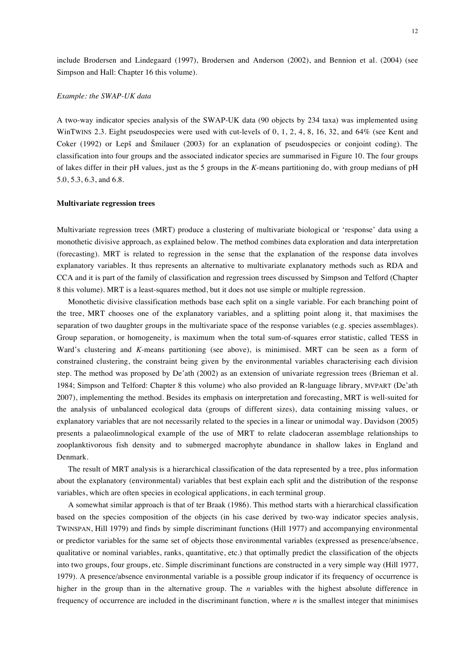include Brodersen and Lindegaard (1997), Brodersen and Anderson (2002), and Bennion et al. (2004) (see Simpson and Hall: Chapter 16 this volume).

# *Example: the SWAP-UK data*

A two-way indicator species analysis of the SWAP-UK data (90 objects by 234 taxa) was implemented using WinTWINS 2.3. Eight pseudospecies were used with cut-levels of 0, 1, 2, 4, 8, 16, 32, and 64% (see Kent and Coker (1992) or Lepš and Šmilauer (2003) for an explanation of pseudospecies or conjoint coding). The classification into four groups and the associated indicator species are summarised in Figure 10. The four groups of lakes differ in their pH values, just as the 5 groups in the *K*-means partitioning do, with group medians of pH 5.0, 5.3, 6.3, and 6.8.

### **Multivariate regression trees**

Multivariate regression trees (MRT) produce a clustering of multivariate biological or 'response' data using a monothetic divisive approach, as explained below. The method combines data exploration and data interpretation (forecasting). MRT is related to regression in the sense that the explanation of the response data involves explanatory variables. It thus represents an alternative to multivariate explanatory methods such as RDA and CCA and it is part of the family of classification and regression trees discussed by Simpson and Telford (Chapter 8 this volume). MRT is a least-squares method, but it does not use simple or multiple regression.

Monothetic divisive classification methods base each split on a single variable. For each branching point of the tree, MRT chooses one of the explanatory variables, and a splitting point along it, that maximises the separation of two daughter groups in the multivariate space of the response variables (e.g. species assemblages). Group separation, or homogeneity, is maximum when the total sum-of-squares error statistic, called TESS in Ward's clustering and *K*-means partitioning (see above), is minimised. MRT can be seen as a form of constrained clustering, the constraint being given by the environmental variables characterising each division step. The method was proposed by De'ath (2002) as an extension of univariate regression trees (Brieman et al. 1984; Simpson and Telford: Chapter 8 this volume) who also provided an R-language library, MVPART (De'ath 2007), implementing the method. Besides its emphasis on interpretation and forecasting, MRT is well-suited for the analysis of unbalanced ecological data (groups of different sizes), data containing missing values, or explanatory variables that are not necessarily related to the species in a linear or unimodal way. Davidson (2005) presents a palaeolimnological example of the use of MRT to relate cladoceran assemblage relationships to zooplanktivorous fish density and to submerged macrophyte abundance in shallow lakes in England and Denmark.

The result of MRT analysis is a hierarchical classification of the data represented by a tree, plus information about the explanatory (environmental) variables that best explain each split and the distribution of the response variables, which are often species in ecological applications, in each terminal group.

A somewhat similar approach is that of ter Braak (1986). This method starts with a hierarchical classification based on the species composition of the objects (in his case derived by two-way indicator species analysis, TWINSPAN, Hill 1979) and finds by simple discriminant functions (Hill 1977) and accompanying environmental or predictor variables for the same set of objects those environmental variables (expressed as presence/absence, qualitative or nominal variables, ranks, quantitative, etc.) that optimally predict the classification of the objects into two groups, four groups, etc. Simple discriminant functions are constructed in a very simple way (Hill 1977, 1979). A presence/absence environmental variable is a possible group indicator if its frequency of occurrence is higher in the group than in the alternative group. The *n* variables with the highest absolute difference in frequency of occurrence are included in the discriminant function, where *n* is the smallest integer that minimises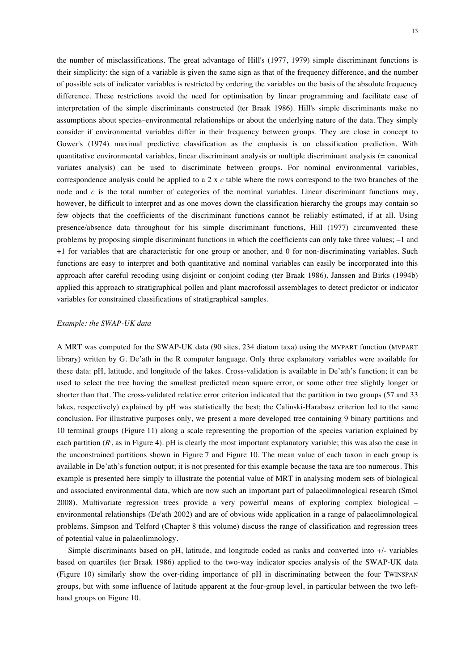the number of misclassifications. The great advantage of Hill's (1977, 1979) simple discriminant functions is their simplicity: the sign of a variable is given the same sign as that of the frequency difference, and the number of possible sets of indicator variables is restricted by ordering the variables on the basis of the absolute frequency difference. These restrictions avoid the need for optimisation by linear programming and facilitate ease of interpretation of the simple discriminants constructed (ter Braak 1986). Hill's simple discriminants make no assumptions about species–environmental relationships or about the underlying nature of the data. They simply consider if environmental variables differ in their frequency between groups. They are close in concept to Gower's (1974) maximal predictive classification as the emphasis is on classification prediction. With quantitative environmental variables, linear discriminant analysis or multiple discriminant analysis (= canonical variates analysis) can be used to discriminate between groups. For nominal environmental variables, correspondence analysis could be applied to a 2 x *c* table where the rows correspond to the two branches of the node and *c* is the total number of categories of the nominal variables. Linear discriminant functions may, however, be difficult to interpret and as one moves down the classification hierarchy the groups may contain so few objects that the coefficients of the discriminant functions cannot be reliably estimated, if at all. Using presence/absence data throughout for his simple discriminant functions, Hill (1977) circumvented these problems by proposing simple discriminant functions in which the coefficients can only take three values; –1 and +1 for variables that are characteristic for one group or another, and 0 for non-discriminating variables. Such functions are easy to interpret and both quantitative and nominal variables can easily be incorporated into this approach after careful recoding using disjoint or conjoint coding (ter Braak 1986). Janssen and Birks (1994b) applied this approach to stratigraphical pollen and plant macrofossil assemblages to detect predictor or indicator variables for constrained classifications of stratigraphical samples.

## *Example: the SWAP-UK data*

A MRT was computed for the SWAP-UK data (90 sites, 234 diatom taxa) using the MVPART function (MVPART library) written by G. De'ath in the R computer language. Only three explanatory variables were available for these data: pH, latitude, and longitude of the lakes. Cross-validation is available in De'ath's function; it can be used to select the tree having the smallest predicted mean square error, or some other tree slightly longer or shorter than that. The cross-validated relative error criterion indicated that the partition in two groups (57 and 33 lakes, respectively) explained by pH was statistically the best; the Calinski-Harabasz criterion led to the same conclusion. For illustrative purposes only, we present a more developed tree containing 9 binary partitions and 10 terminal groups (Figure 11) along a scale representing the proportion of the species variation explained by each partition  $(R<sub>1</sub>$ , as in Figure 4). pH is clearly the most important explanatory variable; this was also the case in the unconstrained partitions shown in Figure 7 and Figure 10. The mean value of each taxon in each group is available in De'ath's function output; it is not presented for this example because the taxa are too numerous. This example is presented here simply to illustrate the potential value of MRT in analysing modern sets of biological and associated environmental data, which are now such an important part of palaeolimnological research (Smol 2008). Multivariate regression trees provide a very powerful means of exploring complex biological – environmental relationships (De'ath 2002) and are of obvious wide application in a range of palaeolimnological problems. Simpson and Telford (Chapter 8 this volume) discuss the range of classification and regression trees of potential value in palaeolimnology.

Simple discriminants based on pH, latitude, and longitude coded as ranks and converted into +/- variables based on quartiles (ter Braak 1986) applied to the two-way indicator species analysis of the SWAP-UK data (Figure 10) similarly show the over-riding importance of pH in discriminating between the four TWINSPAN groups, but with some influence of latitude apparent at the four-group level, in particular between the two lefthand groups on Figure 10.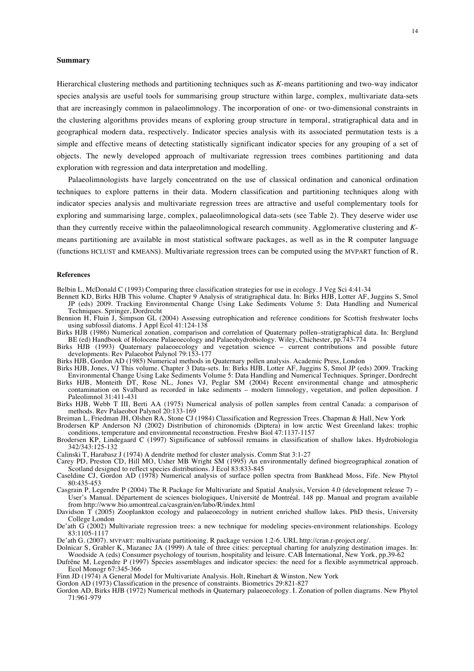### **Summary**

Hierarchical clustering methods and partitioning techniques such as *K*-means partitioning and two-way indicator species analysis are useful tools for summarising group structure within large, complex, multivariate data-sets that are increasingly common in palaeolimnology. The incorporation of one- or two-dimensional constraints in the clustering algorithms provides means of exploring group structure in temporal, stratigraphical data and in geographical modern data, respectively. Indicator species analysis with its associated permutation tests is a simple and effective means of detecting statistically significant indicator species for any grouping of a set of objects. The newly developed approach of multivariate regression trees combines partitioning and data exploration with regression and data interpretation and modelling.

Palaeolimnologists have largely concentrated on the use of classical ordination and canonical ordination techniques to explore patterns in their data. Modern classification and partitioning techniques along with indicator species analysis and multivariate regression trees are attractive and useful complementary tools for exploring and summarising large, complex, palaeolimnological data-sets (see Table 2). They deserve wider use than they currently receive within the palaeolimnological research community. Agglomerative clustering and *K*means partitioning are available in most statistical software packages, as well as in the R computer language (functions HCLUST and KMEANS). Multivariate regression trees can be computed using the MVPART function of R.

### **References**

Belbin L, McDonald C (1993) Comparing three classification strategies for use in ecology. J Veg Sci 4:41-34

- Bennett KD, Birks HJB This volume. Chapter 9 Analysis of stratigraphical data. In: Birks HJB, Lotter AF, Juggins S, Smol JP (eds) 2009. Tracking Environmental Change Using Lake Sediments Volume 5: Data Handling and Numerical Techniques. Springer, Dordrecht
- Bennion H, Fluin J, Simpson GL (2004) Assessing eutrophication and reference conditions for Scottish freshwater lochs using subfossil diatoms. J Appl Ecol 41:124-138
- Birks HJB (1986) Numerical zonation, comparison and correlation of Quaternary pollen–stratigraphical data. In: Berglund BE (ed) Handbook of Holocene Palaeoecology and Palaeohydrobiology. Wiley, Chichester, pp.743-774
- Birks HJB (1993) Quaternary palaeoecology and vegetation science current contributions and possible future developments. Rev Palaeobot Palynol 79:153-177
- Birks HJB, Gordon AD (1985) Numerical methods in Quaternary pollen analysis. Academic Press, London
- Birks HJB, Jones, VJ This volume. Chapter 3 Data-sets. In: Birks HJB, Lotter AF, Juggins S, Smol JP (eds) 2009. Tracking Environmental Change Using Lake Sediments Volume 5: Data Handling and Numerical Techniques. Springer, Dordrecht Birks HJB, Monteith DT, Rose NL, Jones VJ, Peglar SM (2004) Recent environmental change and atmospheric contamination on Svalbard as recorded in lake sediments – modern limnology, vegetation, and pollen deposition. J Paleolimnol 31:411-431
- Birks HJB, Webb T III, Berti AA (1975) Numerical analysis of pollen samples from central Canada: a comparison of methods. Rev Palaeobot Palynol 20:133-169

Breiman L, Friedman JH, Olshen RA, Stone CJ (1984) Classification and Regression Trees*.* Chapman & Hall, New York

- Brodersen KP Anderson NJ (2002) Distribution of chironomids (Diptera) in low arctic West Greenland lakes: trophic conditions, temperature and environmental reconstruction. Freshw Biol 47:1137-1157
- Brodersen KP, Lindegaard C (1997) Significance of subfossil remains in classification of shallow lakes. Hydrobiologia 342/343:125-132

Calinski T, Harabasz J (1974) A dendrite method for cluster analysis. Comm Stat 3:1-27

- Carey PD, Preston CD, Hill MO, Usher MB Wright SM (1995) An environmentally defined biogreographical zonation of Scotland designed to reflect species distributions. J Ecol 83:833-845
- Caseldine CJ, Gordon AD (1978) Numerical analysis of surface pollen spectra from Bankhead Moss, Fife. New Phytol 80:435-453
- Casgrain P, Legendre P (2004) The R Package for Multivariate and Spatial Analysis, Version 4.0 (development release 7) User's Manual. Département de sciences biologiques, Université de Montréal. 148 pp. Manual and program available from http://www.bio.umontreal.ca/casgrain/en/labo/R/index.html
- Davidson T (2005) Zooplankton ecology and palaeoecology in nutrient enriched shallow lakes. PhD thesis, University College London
- De'ath G (2002) Multivariate regression trees: a new technique for modeling species-environment relationships. Ecology 83:1105-1117
- De'ath G. (2007). MVPART: multivariate partitioning. R package version 1.2-6. URL http://cran.r-project.org/.
- Dolnicar S, Grabler K, Mazanec JA (1999) A tale of three cities: perceptual charting for analyzing destination images. In: Woodside A (eds) Consumer psychology of tourism, hospitality and leisure. CAB International, New York, pp.39-62
- Dufrêne M, Legendre P (1997) Species assemblages and indicator species: the need for a flexible asymmetrical approach. Ecol Monogr 67:345-366
- Finn JD (1974) A General Model for Multivariate Analysis*.* Holt, Rinehart & Winston, New York

Gordon AD (1973) Classification in the presence of constraints. Biometrics 29:821-827

Gordon AD, Birks HJB (1972) Numerical methods in Quaternary palaeoecology. I. Zonation of pollen diagrams. New Phytol 71:961-979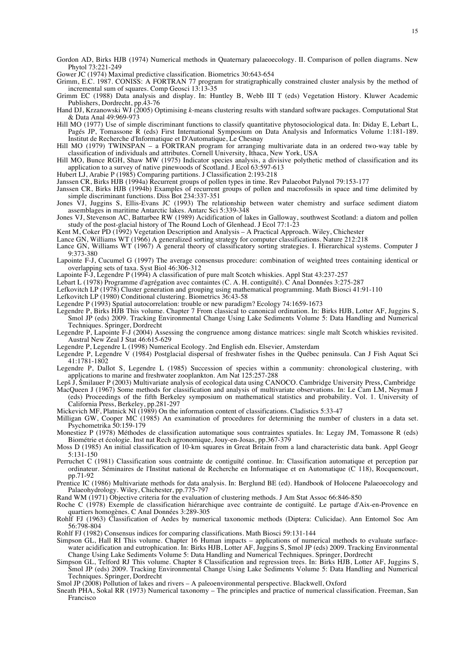Gordon AD, Birks HJB (1974) Numerical methods in Quaternary palaeoecology. II. Comparison of pollen diagrams. New Phytol 73:221-249

Gower JC (1974) Maximal predictive classification. Biometrics 30:643-654

Grimm, E.C. 1987. CONISS: A FORTRAN 77 program for stratigraphically constrained cluster analysis by the method of incremental sum of squares. Comp Geosci 13:13-35

Grimm EC (1988) Data analysis and display. In: Huntley B, Webb III T (eds) Vegetation History. Kluwer Academic Publishers, Dordrecht, pp.43-76

Hand DJ, Krzanowski WJ (2005) Optimising *k*-means clustering results with standard software packages. Computational Stat & Data Anal 49:969-973

Hill MO (1977) Use of simple discriminant functions to classify quantitative phytosociological data. In: Diday E, Lebart L, Pagés JP, Tomassone R (eds) First International Symposium on Data Analysis and Informatics Volume 1:181-189. Institut de Recherche d'Informatique et D'Automatique, Le Chesnay

Hill MO (1979) TWINSPAN – a FORTRAN program for arranging multivariate data in an ordered two-way table by classification of individuals and attributes. Cornell University, Ithaca, New York, USA

Hill MO, Bunce RGH, Shaw MW (1975) Indicator species analysis, a divisive polythetic method of classification and its application to a survey of native pinewoods of Scotland. J Ecol 63:597-613

Hubert LJ, Arabie P (1985) Comparing partitions. J Classification 2:193-218

Janssen CR, Birks HJB (1994a) Recurrent groups of pollen types in time. Rev Palaeobot Palynol 79:153-177

Janssen CR, Birks HJB (1994b) Examples of recurrent groups of pollen and macrofossils in space and time delimited by simple discriminant functions. Diss Bot 234:337-351

Jones VJ, Juggins S, Ellis-Evans JC (1993) The relationship between water chemistry and surface sediment diatom assemblages in maritime Antarctic lakes. Antarc Sci 5:339-348

Jones VJ, Stevenson AC, Battarbee RW (1989) Acidification of lakes in Galloway, southwest Scotland: a diatom and pollen study of the post-glacial history of The Round Loch of Glenhead. J Ecol 77:1-23

Kent M, Coker PD (1992) Vegetation Description and Analysis – A Practical Approach*.* Wiley, Chichester

Lance GN, Williams WT (1966) A generalized sorting strategy for computer classifications. Nature 212:218

Lance GN, Williams WT (1967) A general theory of classificatory sorting strategies. I. Hierarchical systems. Computer J 9:373-380

Lapointe F-J, Cucumel G (1997) The average consensus procedure: combination of weighted trees containing identical or overlapping sets of taxa. Syst Biol 46:306-312

Lapointe F-J, Legendre P (1994) A classification of pure malt Scotch whiskies. Appl Stat 43:237-257

Lebart L (1978) Programme d'agrégation avec containtes (C. A. H. contiguïté). C Anal Données 3:275-287

Lefkovitch LP (1978) Cluster generation and grouping using mathematical programming. Math Biosci 41:91-110

Lefkovitch LP (1980) Conditional clustering. Biometrics 36:43-58

Legendre P (1993) Spatial autocorrelation: trouble or new paradigm? Ecology 74:1659-1673

Legendre P, Birks HJB This volume. Chapter 7 From classical to canonical ordination. In: Birks HJB, Lotter AF, Juggins S, Smol JP (eds) 2009. Tracking Environmental Change Using Lake Sediments Volume 5: Data Handling and Numerical Techniques. Springer, Dordrecht

Legendre P, Lapointe F-J (2004) Assessing the congruence among distance matrices: single malt Scotch whiskies revisited. Austral New Zeal J Stat 46:615-629

Legendre P, Legendre L (1998) Numerical Ecology. 2nd English edn*.* Elsevier, Amsterdam

Legendre P, Legendre V (1984) Postglacial dispersal of freshwater fishes in the Québec peninsula. Can J Fish Aquat Sci 41:1781-1802

Legendre P, Dallot S, Legendre L (1985) Succession of species within a community: chronological clustering, with applications to marine and freshwater zooplankton. Am Nat 125:257-288

Lepš J, Šmilauer P (2003) Multivariate analysis of ecological data using CANOCO. Cambridge University Press, Cambridge

MacQueen J (1967) Some methods for classification and analysis of multivariate observations. In: Le Cam LM, Neyman J (eds) Proceedings of the fifth Berkeley symposium on mathematical statistics and probability. Vol. 1*.* University of California Press, Berkeley, pp.281-297

Mickevich MF, Platnick NI (1989) On the information content of classifications. Cladistics 5:33-47

Milligan GW, Cooper MC (1985) An examination of procedures for determining the number of clusters in a data set. Psychometrika 50:159-179

Monestiez P (1978) Méthodes de classification automatique sous contraintes spatiales. In: Legay JM, Tomassone R (eds) Biométrie et écologie. Inst nat Rech agronomique, Jouy-en-Josas, pp.367-379

Moss D (1985) An initial classification of 10-km squares in Great Britain from a land characteristic data bank. Appl Geogr 5:131-150

Perruchet C (1981) Classification sous contrainte de contiguïté continue. In: Classification automatique et perception par ordinateur. Séminaires de l'Institut national de Recherche en Informatique et en Automatique (C 118), Rocquencourt, pp.71-92

Prentice IC (1986) Multivariate methods for data analysis. In: Berglund BE (ed). Handbook of Holocene Palaeoecology and Palaeohydrology. Wiley, Chichester, pp.775-797

Rand WM (1971) Objective criteria for the evaluation of clustering methods. J Am Stat Assoc 66:846-850

Roche C (1978) Exemple de classification hiérarchique avec contrainte de contiguïté. Le partage d'Aix-en-Provence en quartiers homogènes. C Anal Données 3:289-305

Rohlf FJ (1963) Classification of Aedes by numerical taxonomic methods (Diptera: Culicidae). Ann Entomol Soc Am 56:798-804

Rohlf FJ (1982) Consensus indices for comparing classifications. Math Biosci 59:131-144

Simpson GL, Hall RI This volume. Chapter 16 Human impacts – applications of numerical methods to evaluate surfacewater acidification and eutrophication. In: Birks HJB, Lotter AF, Juggins S, Smol JP (eds) 2009. Tracking Environmental Change Using Lake Sediments Volume 5: Data Handling and Numerical Techniques. Springer, Dordrecht

Simpson GL, Telford RJ This volume. Chapter 8 Classification and regression trees. In: Birks HJB, Lotter AF, Juggins S, Smol JP (eds) 2009. Tracking Environmental Change Using Lake Sediments Volume 5: Data Handling and Numerical Techniques. Springer, Dordrecht

Smol JP (2008) Pollution of lakes and rivers – A paleoenvironmental perspective. Blackwell, Oxford

Sneath PHA, Sokal RR (1973) Numerical taxonomy – The principles and practice of numerical classification*.* Freeman, San Francisco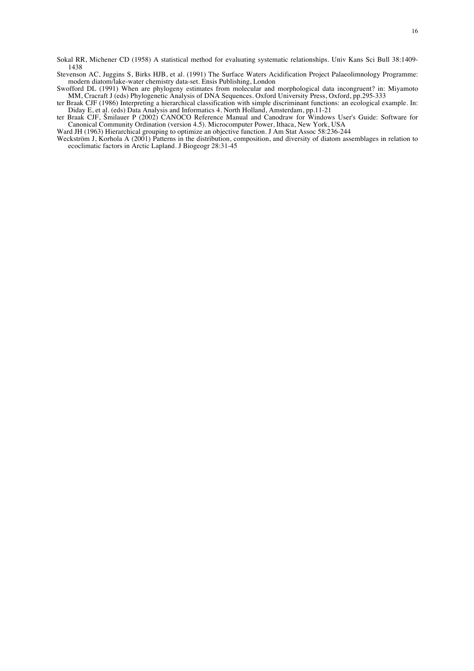Sokal RR, Michener CD (1958) A statistical method for evaluating systematic relationships. Univ Kans Sci Bull 38:1409- 1438

Stevenson AC, Juggins S, Birks HJB, et al. (1991) The Surface Waters Acidification Project Palaeolimnology Programme: modern diatom/lake-water chemistry data-set. Ensis Publishing, London

- Swofford DL (1991) When are phylogeny estimates from molecular and morphological data incongruent? in: Miyamoto MM, Cracraft J (eds) Phylogenetic Analysis of DNA Sequences*.* Oxford University Press, Oxford, pp.295-333
- ter Braak CJF (1986) Interpreting a hierarchical classification with simple discriminant functions: an ecological example. In: Diday E, et al. (eds) Data Analysis and Informatics 4. North Holland, Amsterdam, pp.11-21
- ter Braak CJF, Šmilauer P (2002) CANOCO Reference Manual and Canodraw for Windows User's Guide: Software for Canonical Community Ordination (version 4.5). Microcomputer Power, Ithaca, New York, USA
- Ward JH (1963) Hierarchical grouping to optimize an objective function. J Am Stat Assoc 58:236-244 Weckström J, Korhola A (2001) Patterns in the distribution, composition, and diversity of diatom assemblages in relation to ecoclimatic factors in Arctic Lapland. J Biogeogr 28:31-45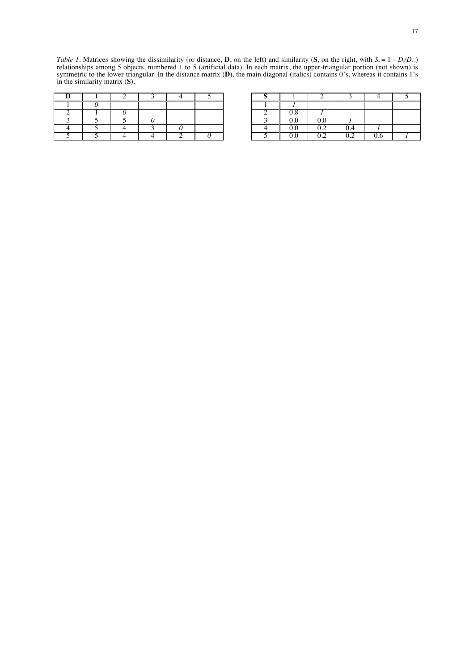*Table 1*. Matrices showing the dissimilarity (or distance, **D**, on the left) and similarity (**S**, on the right, with  $S_i = 1 - D_i/D_{i,j}$ relationships among 5 objects, numbered 1 to 5 (artificial data). In each matrix, the upper-triangular portion (not shown) is symmetric to the lower-triangular. In the distance matrix (**D**), the main diagonal (italics) contains 0's, whereas it contains 1's in the similarity matrix (**S**).

|  |  |  |  | ◡.◡ |     |     |  |
|--|--|--|--|-----|-----|-----|--|
|  |  |  |  | ◡.◡ | ◡.∸ |     |  |
|  |  |  |  |     | .   | ◡.∸ |  |

|  |  |  |  | v.o |                         |     |     |  |
|--|--|--|--|-----|-------------------------|-----|-----|--|
|  |  |  |  | v.v | U.U                     |     |     |  |
|  |  |  |  | v.v | $\mathsf{v}.\mathsf{v}$ | v.  |     |  |
|  |  |  |  | v.v | $\mathsf{U}$            | ◡.∠ | v.v |  |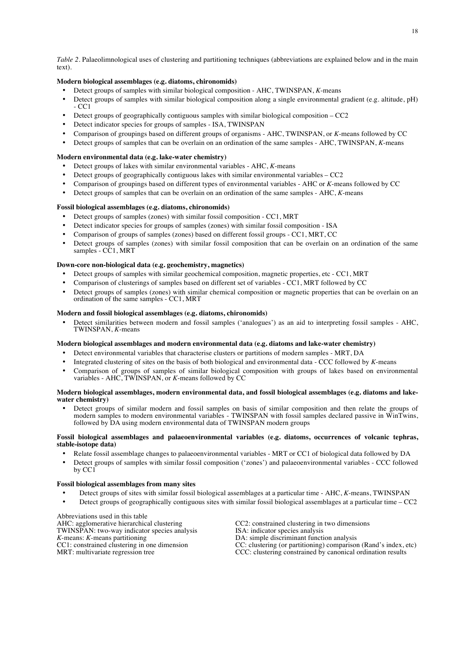*Table 2*. Palaeolimnological uses of clustering and partitioning techniques (abbreviations are explained below and in the main text).

# **Modern biological assemblages (e.g. diatoms, chironomids)**

- Detect groups of samples with similar biological composition AHC, TWINSPAN, *K*-means
- Detect groups of samples with similar biological composition along a single environmental gradient (e.g. altitude, pH) - CC1
- Detect groups of geographically contiguous samples with similar biological composition CC2
- Detect indicator species for groups of samples ISA, TWINSPAN
- Comparison of groupings based on different groups of organisms AHC, TWINSPAN, or *K*-means followed by CC
- Detect groups of samples that can be overlain on an ordination of the same samples AHC, TWINSPAN, *K*-means

# **Modern environmental data (e.g. lake-water chemistry)**

- Detect groups of lakes with similar environmental variables AHC, *K*-means
- Detect groups of geographically contiguous lakes with similar environmental variables CC2
- Comparison of groupings based on different types of environmental variables AHC or *K*-means followed by CC
- Detect groups of samples that can be overlain on an ordination of the same samples AHC, *K*-means

# **Fossil biological assemblages (e.g. diatoms, chironomids)**

- Detect groups of samples (zones) with similar fossil composition CC1, MRT
- Detect indicator species for groups of samples (zones) with similar fossil composition ISA
- Comparison of groups of samples (zones) based on different fossil groups CC1, MRT, CC
- Detect groups of samples (zones) with similar fossil composition that can be overlain on an ordination of the same samples CC1, MRT

# **Down-core non-biological data (e.g. geochemistry, magnetics)**

- Detect groups of samples with similar geochemical composition, magnetic properties, etc CC1, MRT
- Comparison of clusterings of samples based on different set of variables CC1, MRT followed by CC
- Detect groups of samples (zones) with similar chemical composition or magnetic properties that can be overlain on an ordination of the same samples - CC1, MRT

# **Modern and fossil biological assemblages (e.g. diatoms, chironomids)**

• Detect similarities between modern and fossil samples ('analogues') as an aid to interpreting fossil samples - AHC, TWINSPAN, *K*-means

# **Modern biological assemblages and modern environmental data (e.g. diatoms and lake-water chemistry)**

- Detect environmental variables that characterise clusters or partitions of modern samples MRT, DA
- Integrated clustering of sites on the basis of both biological and environmental data CCC followed by *K*-means
- Comparison of groups of samples of similar biological composition with groups of lakes based on environmental variables - AHC, TWINSPAN, or *K*-means followed by CC

#### **Modern biological assemblages, modern environmental data, and fossil biological assemblages (e.g. diatoms and lakewater chemistry)**

• Detect groups of similar modern and fossil samples on basis of similar composition and then relate the groups of modern samples to modern environmental variables - TWINSPAN with fossil samples declared passive in WinTwins, followed by DA using modern environmental data of TWINSPAN modern groups

#### **Fossil biological assemblages and palaeoenvironmental variables (e.g. diatoms, occurrences of volcanic tephras, stable-isotope data)**

- Relate fossil assemblage changes to palaeoenvironmental variables MRT or CC1 of biological data followed by DA
- Detect groups of samples with similar fossil composition ('zones') and palaeoenvironmental variables CCC followed by CC1

# **Fossil biological assemblages from many sites**

- Detect groups of sites with similar fossil biological assemblages at a particular time AHC, *K*-means, TWINSPAN
- Detect groups of geographically contiguous sites with similar fossil biological assemblages at a particular time CC2

Abbreviations used in this table AHC: agglomerative hierarchical clustering TWINSPAN: two-way indicator species analysis *K*-means: *K*-means partitioning CC1: constrained clustering in one dimension MRT: multivariate regression tree

CC2: constrained clustering in two dimensions

ISA: indicator species analysis

DA: simple discriminant function analysis

CC: clustering (or partitioning) comparison (Rand's index, etc) CCC: clustering constrained by canonical ordination results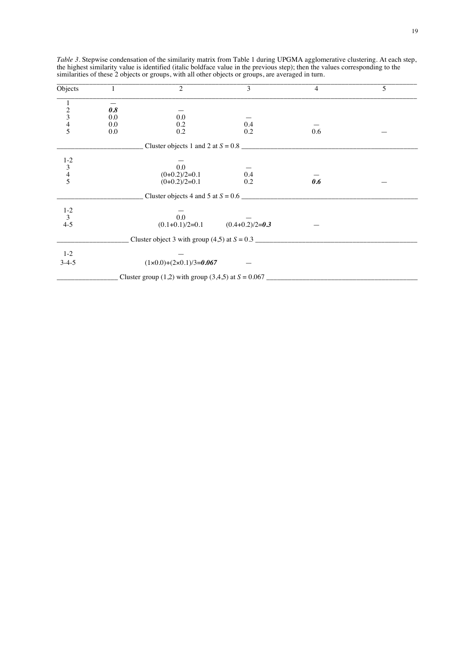| Table 3. Stepwise condensation of the similarity matrix from Table 1 during UPGMA agglomerative clustering. At each step,     |
|-------------------------------------------------------------------------------------------------------------------------------|
| the highest similarity value is identified (italic boldface value in the previous step); then the values corresponding to the |
| similarities of these 2 objects or groups, with all other objects or groups, are averaged in turn.                            |

| Objects                                         |     | 2                                                     | 3   | 4   | 5 |
|-------------------------------------------------|-----|-------------------------------------------------------|-----|-----|---|
| $\mathbf{1}$                                    |     |                                                       |     |     |   |
| $\begin{array}{c} 2 \\ 3 \\ 4 \\ 5 \end{array}$ | 0.8 |                                                       |     |     |   |
|                                                 | 0.0 | 0.0                                                   |     |     |   |
|                                                 | 0.0 | 0.2                                                   | 0.4 |     |   |
|                                                 | 0.0 | 0.2                                                   | 0.2 | 0.6 |   |
|                                                 |     |                                                       |     |     |   |
|                                                 |     |                                                       |     |     |   |
|                                                 |     | 0.0                                                   |     |     |   |
|                                                 |     | $(0+0.2)/2=0.1$                                       | 0.4 |     |   |
| $\frac{1-2}{3}$<br>4<br>5                       |     | $(0+0.2)/2=0.1$                                       | 0.2 | 0.6 |   |
|                                                 |     | Cluster objects 4 and 5 at $S = 0.6$ ______           |     |     |   |
|                                                 |     |                                                       |     |     |   |
|                                                 |     | 0.0                                                   |     |     |   |
| $\frac{1-2}{3}$<br>4-5                          |     | $(0.1+0.1)/2=0.1$ $(0.4+0.2)/2=0.3$                   |     |     |   |
|                                                 |     | Cluster object 3 with group (4,5) at $S = 0.3$ _____  |     |     |   |
| $1 - 2$                                         |     |                                                       |     |     |   |
| $3-4-5$                                         |     | $(1\times0.0)+(2\times0.1)/3=0.067$                   |     |     |   |
|                                                 |     | Cluster group (1,2) with group (3,4,5) at $S = 0.067$ |     |     |   |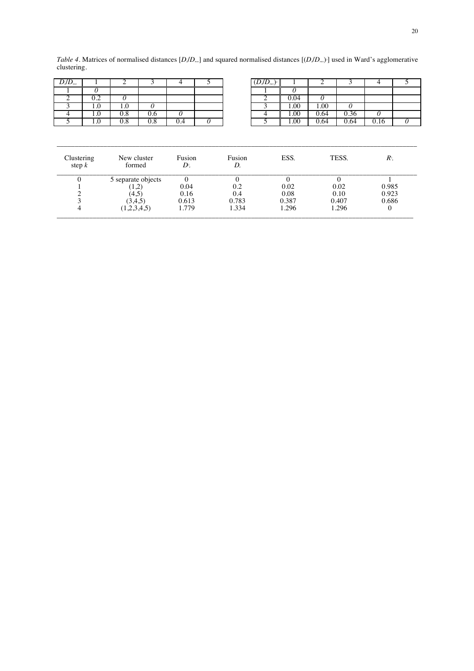*Table 4*. Matrices of normalised distances  $[D/D_{\text{un}}]$  and squared normalised distances  $[(D/D_{\text{un}})]$  used in Ward's agglomerative clustering.

| $D_i/D_{max}$ |                               |                               |          |     |  | $(D_i/D_{max})$ |      |      |      |      |  |
|---------------|-------------------------------|-------------------------------|----------|-----|--|-----------------|------|------|------|------|--|
|               |                               |                               |          |     |  |                 |      |      |      |      |  |
|               | ∪.∠                           |                               |          |     |  |                 | 0.04 |      |      |      |  |
|               | 1.0                           | $\mathbf{L} \cdot \mathbf{U}$ |          |     |  |                 | 1.00 | 1.00 |      |      |  |
|               | 1.0                           | U.O                           | U.O      |     |  |                 | 00.1 | 0.64 | 0.36 |      |  |
|               | $\mathbf{1} \cdot \mathbf{U}$ | U.O                           | $_{0.8}$ | 0.4 |  |                 | 1.00 | 0.64 | 0.64 | 0.16 |  |

| $\mathcal{D}_{\scriptscriptstyle\rm max}$ |      |            |                 |     |  | $(D_i/D_{max})$ |           |           |      |      |  |
|-------------------------------------------|------|------------|-----------------|-----|--|-----------------|-----------|-----------|------|------|--|
|                                           |      |            |                 |     |  |                 |           |           |      |      |  |
| ∼                                         | ∪.∠  |            |                 |     |  |                 | 0.04      |           |      |      |  |
|                                           | U. L | <b>U.L</b> |                 |     |  |                 | $00_{.1}$ | $00_{.1}$ |      |      |  |
|                                           | 1.0  | U.O        | U.O             |     |  |                 | 1.00      | 0.64      | 0.36 |      |  |
|                                           | 1.0  | U.8        | $\Omega$<br>v.o | J.4 |  |                 | 00.1      | 0.64      | 0.64 | 0.16 |  |

| Clustering<br>step $k$ | New cluster<br>formed | Fusion<br>D <sub>2</sub> | Fusion<br>IJ. | ESS.  | TESS. | $R_{\frac{2}{k}}$ |
|------------------------|-----------------------|--------------------------|---------------|-------|-------|-------------------|
|                        | 5 separate objects    |                          |               |       |       |                   |
|                        | 1,2)                  | 0.04                     | 0.2           | 0.02  | 0.02  | 0.985             |
|                        | (4.5)                 | 0.16                     | 0.4           | 0.08  | 0.10  | 0.923             |
|                        | (3,4,5)               | 0.613                    | 0.783         | 0.387 | 0.407 | 0.686             |
|                        | (1,2,3,4,5)           | 1.779                    | 1.334         | 1.296 | 1.296 |                   |

\_\_\_\_\_\_\_\_\_\_\_\_\_\_\_\_\_\_\_\_\_\_\_\_\_\_\_\_\_\_\_\_\_\_\_\_\_\_\_\_\_\_\_\_\_\_\_\_\_\_\_\_\_\_\_\_\_\_\_\_\_\_\_\_\_\_\_\_\_\_\_\_\_\_\_\_\_\_\_\_\_\_\_\_\_\_\_\_\_\_\_\_\_\_\_\_\_\_\_\_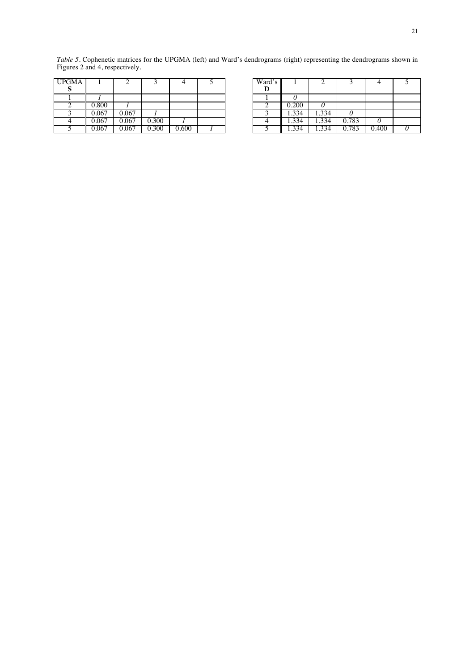*Table 5*. Cophenetic matrices for the UPGMA (left) and Ward's dendrograms (right) representing the dendrograms shown in Figures 2 and 4, respectively.

| <b>UPGMA</b><br>ື |       |       |       |       |  | Ward's |       |                    |       |       |          |
|-------------------|-------|-------|-------|-------|--|--------|-------|--------------------|-------|-------|----------|
|                   |       |       |       |       |  |        |       |                    |       |       |          |
|                   | 0.800 |       |       |       |  |        | 0.200 |                    |       |       |          |
|                   | 0.067 | 0.067 |       |       |  |        | 1.334 | 1.334              |       |       |          |
|                   | 0.067 | 0.067 | 0.300 |       |  |        | .334  | 1.334              | 0.783 | U     |          |
|                   | 0.067 | 0.067 | 0.300 | 0.600 |  |        | 1.334 | $1.\overline{334}$ | 0.783 | 0.400 | $\theta$ |

| Ward's |       |       |       |       |  |
|--------|-------|-------|-------|-------|--|
|        |       |       |       |       |  |
|        |       |       |       |       |  |
|        | 0.200 |       |       |       |  |
|        | 1.334 | 1.334 |       |       |  |
|        | 1.334 | 1.334 | 0.783 |       |  |
|        | 1.334 | 1.334 | 0.783 | 0.400 |  |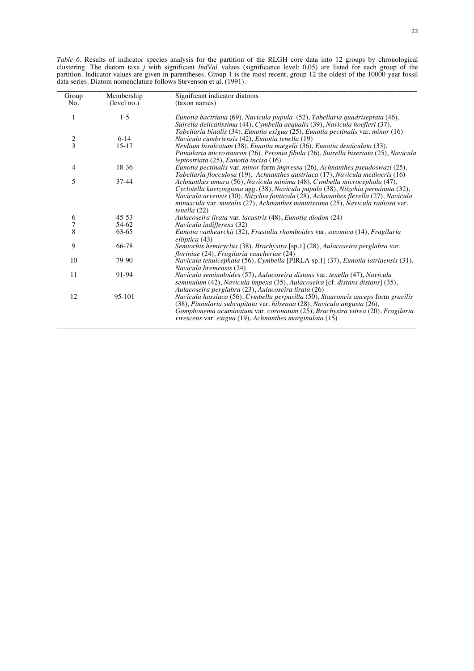*Table 6*. Results of indicator species analysis for the partition of the RLGH core data into 12 groups by chronological clustering. The diatom taxa *j* with significant *IndValj* values (significance level: 0.05) are listed for each group of the partition. Indicator values are given in parentheses. Group 1 is the most recent, group 12 the oldest of the 10000-year fossil data series. Diatom nomenclature follows Stevenson et al. (1991).

| Group<br>No.  | Membership<br>(level no.) | Significant indicator diatoms<br>(taxon names)                                                                                                                                                                                                                                                                                                          |
|---------------|---------------------------|---------------------------------------------------------------------------------------------------------------------------------------------------------------------------------------------------------------------------------------------------------------------------------------------------------------------------------------------------------|
| 1             | $1-5$                     | Eunotia bactriana (69), Navicula pupula (52), Tabellaria quadriseptata (46),<br>Suirella delicatissima (44), Cymbella aequalis (39), Navicula hoefleri (37),<br>Tabellaria binalis (34), Eunotia exigua (25), Eunotia pectinalis var. minor (16)                                                                                                        |
|               | $6 - 14$                  | Navicula cumbriensis (42), Eunotia tenella (19)                                                                                                                                                                                                                                                                                                         |
| $\frac{2}{3}$ | $15-17$                   | Neidium bisulcatum (38), Eunotia naegelii (36), Eunotia denticulata (33),<br>Pinnularia microstauron (26), Peronia fibula (26), Suirella biseriata (25), Navicula<br>leptostriata (25), Eunotia incisa (16)                                                                                                                                             |
| 4             | 18-36                     | Eunotia pectinalis var. minor form impressa (26), Achnanthes pseudoswazi (25),<br>Tabellaria flocculosa (19), Achnanthes austriaca (17), Navicula mediocris (16)                                                                                                                                                                                        |
| 5             | $37-44$                   | Achnanthes umara (56), Navicula minima (48), Cymbella microcephala (47),<br>Cyclotella kuetzingiana agg. (38), Navicula pupula (38), Nitzchia perminuta (32),<br>Navicula arvensis (30), Nitzchia fonticola (28), Achnanthes flexella (27), Navicula<br>minuscula var. muralis (27), Achnanthes minutissima (25), Navicula radiosa var.<br>tenella (22) |
| 6             | $45-53$                   | Aulacoseira lirata var. lacustris (48), Eunotia diodon (24)                                                                                                                                                                                                                                                                                             |
| 7             | 54-62                     | Navicula indifferens (32)                                                                                                                                                                                                                                                                                                                               |
| 8             | 63-65                     | Eunotia vanheurckii (32), Frustulia rhomboides var. saxonica (14), Fragilaria<br>elliptica (43)                                                                                                                                                                                                                                                         |
| 9             | 66-78                     | Semiorbis hemicyclus (38), Brachysira [sp.1] (28), Aulacoseira perglabra var.<br>floriniae (24), Fragilaria vaucheriae (24)                                                                                                                                                                                                                             |
| 10            | 79-90                     | Navicula tenuicephala (56), Cymbella [PIRLA sp.1] (37), Eunotia iatriaensis (31),<br>Navicula bremensis (24)                                                                                                                                                                                                                                            |
| 11            | 91-94                     | Navicula seminuloides (57), Aulacoseira distans var. tenella (47), Navicula<br>seminulum (42), Navicula impexa (35), Aulacoseira [cf. distans distans] (35),<br>Aulacoseira perglabra (23), Aulacoseira lirata (26)                                                                                                                                     |
| 12            | 95-101                    | Navicula hassiaca (56), Cymbella perpusilla (50), Stauroneis anceps form gracilis<br>(38), Pinnularia subcapitata var. hilseana (28), Navicula angusta (26),<br>Gomphonema acuminatum var. coronatum (25), Brachysira vitrea (20), Fragilaria<br>virescens var. exigua $(19)$ , Achnanthes marginulata $(15)$                                           |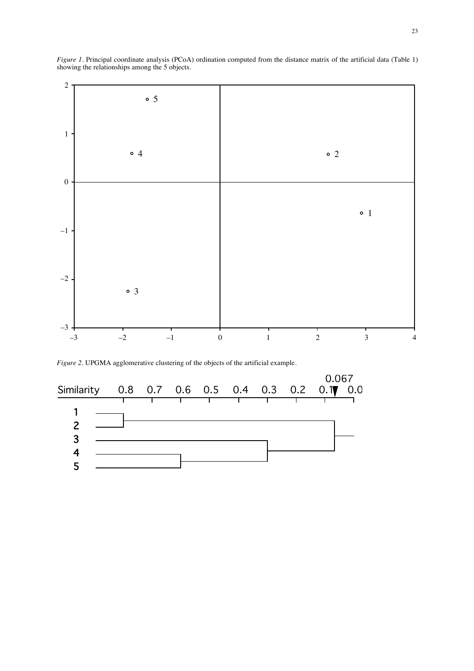*Figure 1*. Principal coordinate analysis (PCoA) ordination computed from the distance matrix of the artificial data (Table 1) showing the relationships among the 5 objects.



*Figure 2*. UPGMA agglomerative clustering of the objects of the artificial example.

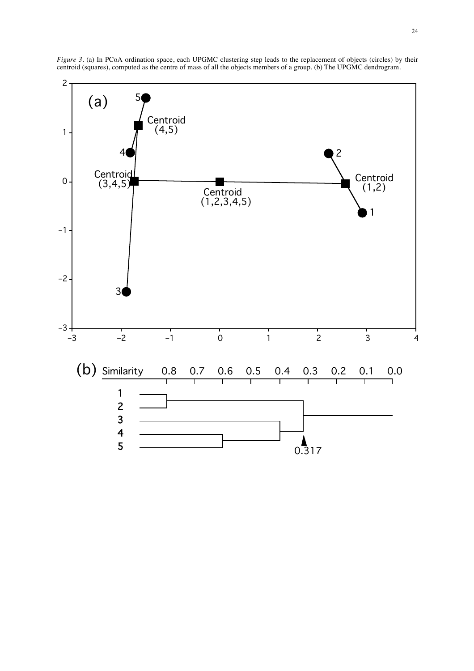

*Figure 3*. (a) In PCoA ordination space, each UPGMC clustering step leads to the replacement of objects (circles) by their centroid (squares), computed as the centre of mass of all the objects members of a group. (b) The UPGMC dendrogram.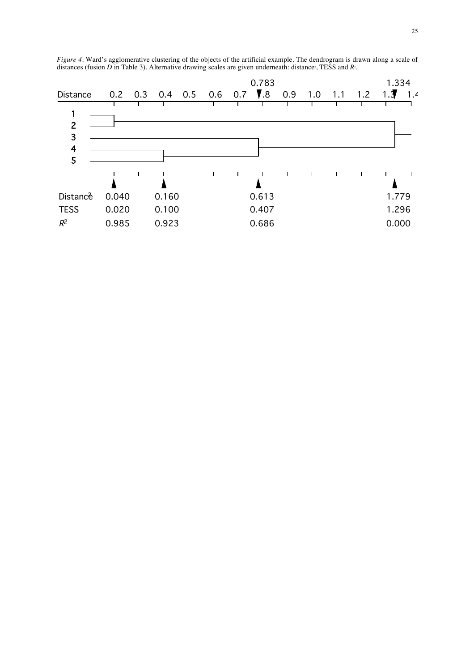|                                            |       |                   |                                    | 0.783 |     |           |     | 1.334 |     |
|--------------------------------------------|-------|-------------------|------------------------------------|-------|-----|-----------|-----|-------|-----|
| Distance                                   |       | $0.2$ 0.3 0.4 0.5 | $0.6$ 0.7 $\blacktriangledown$ 8.8 |       | 0.9 | $1.0$ 1.1 | 1.2 | 1.3   | 1.4 |
| $\overline{2}$<br>3<br>$\overline{4}$<br>5 |       |                   |                                    |       |     |           |     |       |     |
|                                            |       |                   |                                    |       |     |           |     |       |     |
| Distance                                   | 0.040 | 0.160             |                                    | 0.613 |     |           |     | 1.779 |     |
| <b>TESS</b>                                | 0.020 | 0.100             |                                    | 0.407 |     |           |     | 1.296 |     |
| $R^2$                                      | 0.985 | 0.923             |                                    | 0.686 |     |           |     | 0.000 |     |

*Figure 4*. Ward's agglomerative clustering of the objects of the artificial example. The dendrogram is drawn along a scale of distances (fusion *D* in Table 3). Alternative drawing scales are given underneath: distance<sup>3</sup>, TESS and *R*<sup>2</sup>.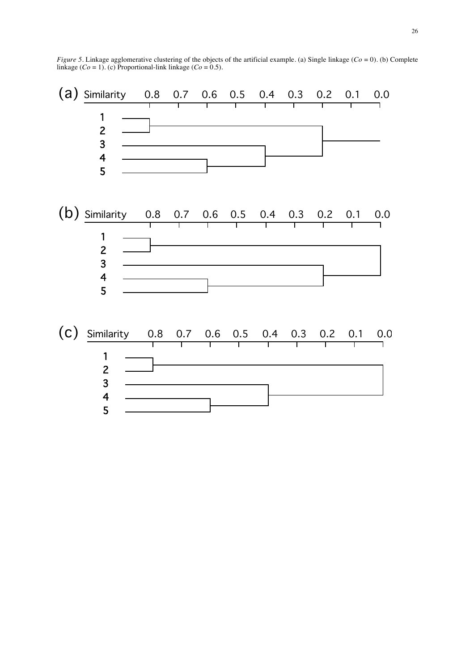

*Figure 5*. Linkage agglomerative clustering of the objects of the artificial example. (a) Single linkage (*Co* = 0). (b) Complete linkage (*Co* = 1). (c) Proportional-link linkage (*Co* = 0.5).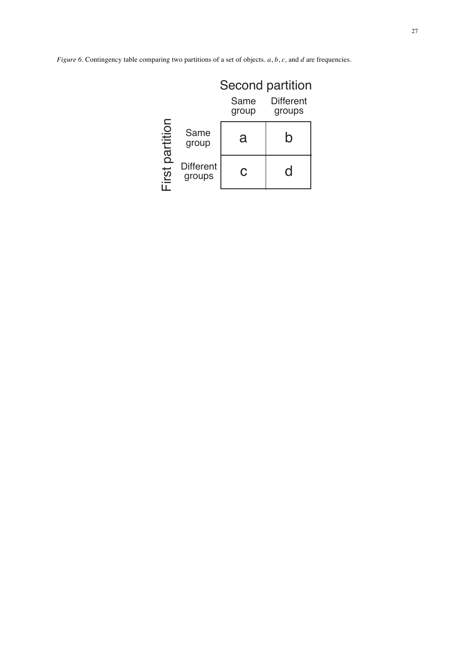*Figure 6*. Contingency table comparing two partitions of a set of objects. *a*, *b*, *c,* and *d* are frequencies.

|                 |                            |               | Second partition           |
|-----------------|----------------------------|---------------|----------------------------|
|                 |                            | Same<br>group | <b>Different</b><br>groups |
| -irst partition | Same<br>group              | a             | b                          |
|                 | <b>Different</b><br>groups | C             | d                          |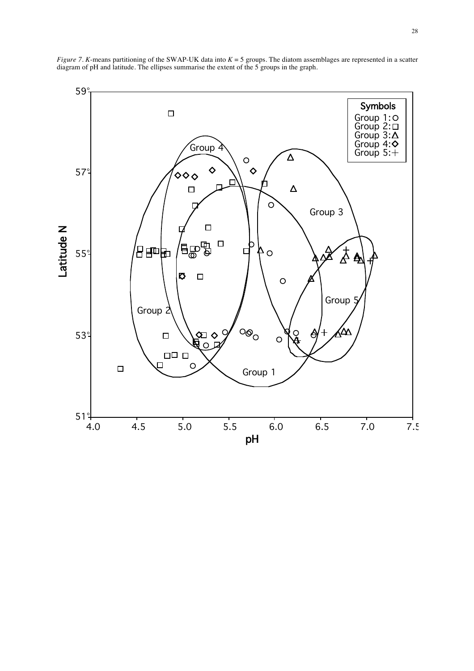

*Figure 7*. *K*-means partitioning of the SWAP-UK data into *K* = 5 groups. The diatom assemblages are represented in a scatter diagram of pH and latitude. The ellipses summarise the extent of the 5 groups in the graph.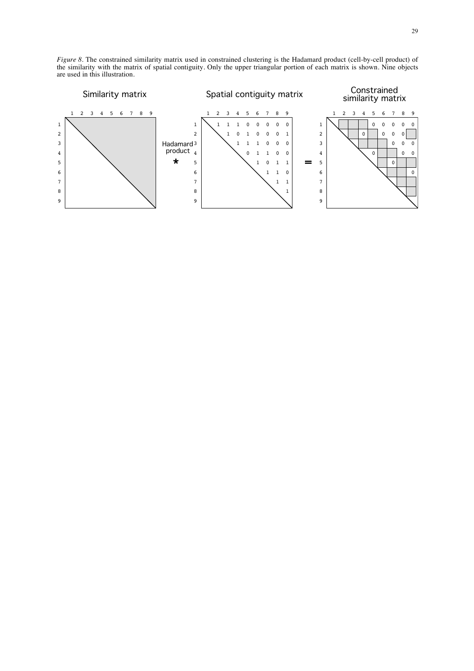*Figure 8*. The constrained similarity matrix used in constrained clustering is the Hadamard product (cell-by-cell product) of the similarity with the matrix of spatial contiguity. Only the upper triangular portion of each matrix is shown. Nine objects are used in this illustration.

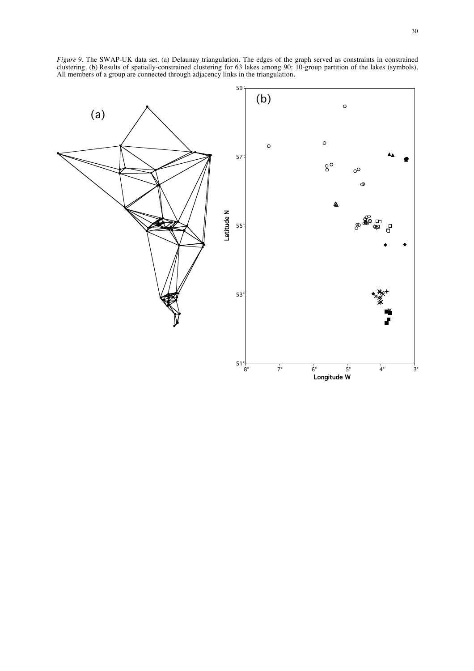

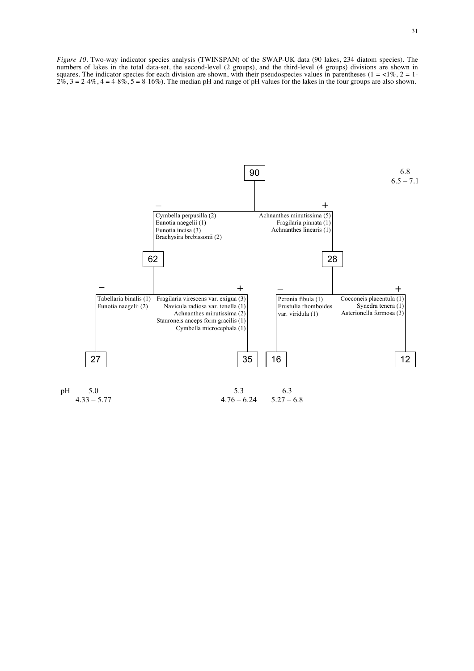*Figure 10*. Two-way indicator species analysis (TWINSPAN) of the SWAP-UK data (90 lakes, 234 diatom species). The numbers of lakes in the total data-set, the second-level (2 groups), and the third-level (4 groups) divisions are shown in squares. The indicator species for each division are shown, with their pseudospecies values in parentheses  $(1 = \langle 1\% , 2 = 1 - \rangle)$  $2\%, 3 = 2.4\%, 4 = 4.8\%, 5 = 8.16\%$ . The median pH and range of pH values for the lakes in the four groups are also shown.